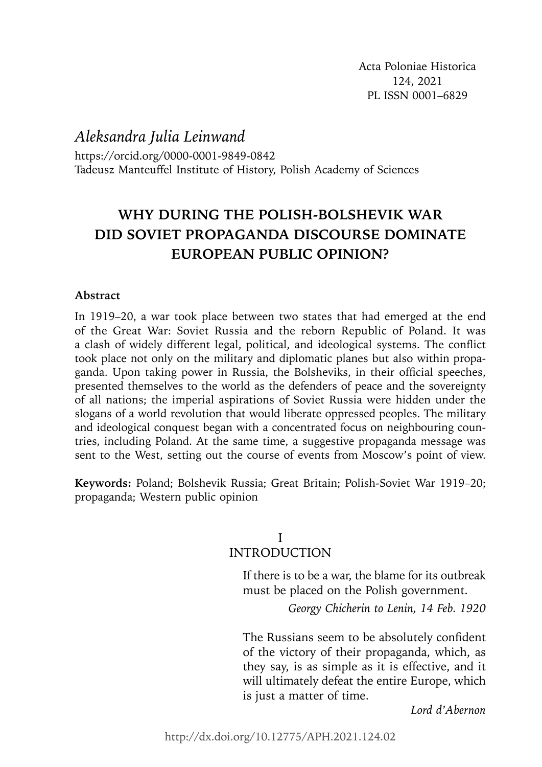*Aleksandra Julia Leinwand* 

https://orcid.org/0000-0001-9849-0842 Tadeusz Manteuffel Institute of History, Polish Academy of Sciences

# **WHY DURING THE POLISH-BOLSHEVIK WAR DID SOVIET PROPAGANDA DISCOURSE DOMINATE EUROPEAN PUBLIC OPINION?**

# **Abstract**

In 1919–20, a war took place between two states that had emerged at the end of the Great War: Soviet Russia and the reborn Republic of Poland. It was a clash of widely different legal, political, and ideological systems. The conflict took place not only on the military and diplomatic planes but also within propaganda. Upon taking power in Russia, the Bolsheviks, in their official speeches, presented themselves to the world as the defenders of peace and the sovereignty of all nations; the imperial aspirations of Soviet Russia were hidden under the slogans of a world revolution that would liberate oppressed peoples. The military and ideological conquest began with a concentrated focus on neighbouring countries, including Poland. At the same time, a suggestive propaganda message was sent to the West, setting out the course of events from Moscow's point of view.

**Keywords:** Poland; Bolshevik Russia; Great Britain; Polish-Soviet War 1919–20; propaganda; Western public opinion

## I INTRODUCTION

If there is to be a war, the blame for its outbreak must be placed on the Polish government.

*Georgy Chicherin to Lenin, 14 Feb. 1920*

The Russians seem to be absolutely confident of the victory of their propaganda, which, as they say, is as simple as it is effective, and it will ultimately defeat the entire Europe, which is just a matter of time.

*Lord d'Abernon*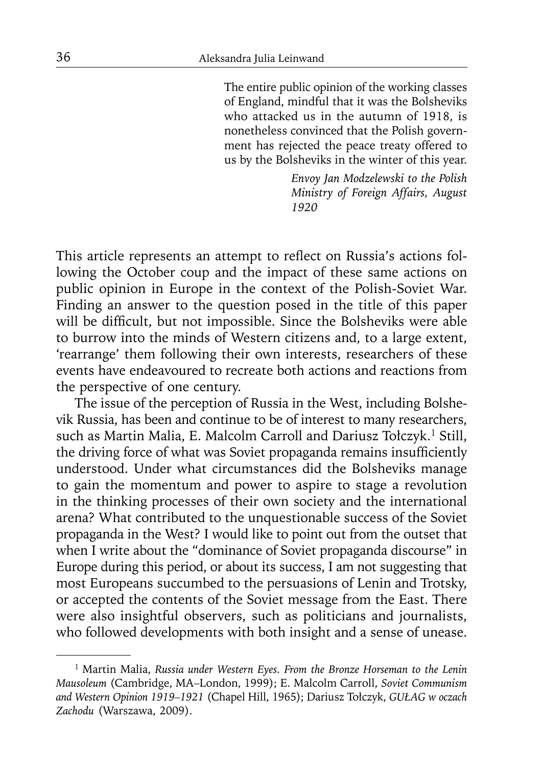The entire public opinion of the working classes of England, mindful that it was the Bolsheviks who attacked us in the autumn of 1918, is nonetheless convinced that the Polish government has rejected the peace treaty offered to us by the Bolsheviks in the winter of this year.

> *Envoy Jan Modzelewski to the Polish Ministry of Foreign Affairs, August 1920*

This article represents an attempt to reflect on Russia's actions following the October coup and the impact of these same actions on public opinion in Europe in the context of the Polish-Soviet War. Finding an answer to the question posed in the title of this paper will be difficult, but not impossible. Since the Bolsheviks were able to burrow into the minds of Western citizens and, to a large extent, 'rearrange' them following their own interests, researchers of these events have endeavoured to recreate both actions and reactions from the perspective of one century.

The issue of the perception of Russia in the West, including Bolshevik Russia, has been and continue to be of interest to many researchers, such as Martin Malia, E. Malcolm Carroll and Dariusz Tołczyk.<sup>1</sup> Still, the driving force of what was Soviet propaganda remains insufficiently understood. Under what circumstances did the Bolsheviks manage to gain the momentum and power to aspire to stage a revolution in the thinking processes of their own society and the international arena? What contributed to the unquestionable success of the Soviet propaganda in the West? I would like to point out from the outset that when I write about the "dominance of Soviet propaganda discourse" in Europe during this period, or about its success, I am not suggesting that most Europeans succumbed to the persuasions of Lenin and Trotsky, or accepted the contents of the Soviet message from the East. There were also insightful observers, such as politicians and journalists, who followed developments with both insight and a sense of unease.

<sup>1</sup> Martin Malia, *Russia under Western Eyes. From the Bronze Horseman to the Lenin Mausoleum* (Cambridge, MA–London, 1999); E. Malcolm Carroll, *Soviet Communism and Western Opinion 1919–1921* (Chapel Hill, 1965); Dariusz Tołczyk, *GUŁAG w oczach Zachodu* (Warszawa, 2009).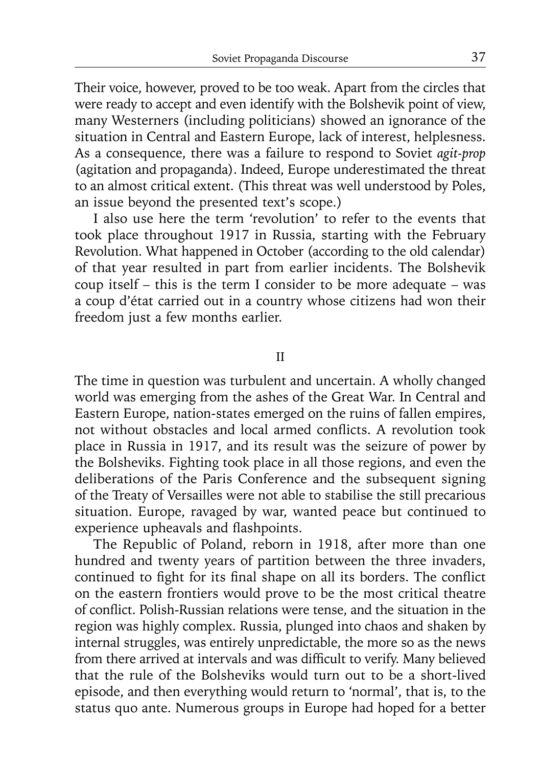Their voice, however, proved to be too weak. Apart from the circles that were ready to accept and even identify with the Bolshevik point of view, many Westerners (including politicians) showed an ignorance of the situation in Central and Eastern Europe, lack of interest, helplesness. As a consequence, there was a failure to respond to Soviet *agit-prop*  (agitation and propaganda). Indeed, Europe underestimated the threat to an almost critical extent. (This threat was well understood by Poles, an issue beyond the presented text's scope.)

I also use here the term 'revolution' to refer to the events that took place throughout 1917 in Russia, starting with the February Revolution. What happened in October (according to the old calendar) of that year resulted in part from earlier incidents. The Bolshevik coup itself – this is the term I consider to be more adequate – was a coup d'état carried out in a country whose citizens had won their freedom just a few months earlier.

II

The time in question was turbulent and uncertain. A wholly changed world was emerging from the ashes of the Great War. In Central and Eastern Europe, nation-states emerged on the ruins of fallen empires, not without obstacles and local armed conflicts. A revolution took place in Russia in 1917, and its result was the seizure of power by the Bolsheviks. Fighting took place in all those regions, and even the deliberations of the Paris Conference and the subsequent signing of the Treaty of Versailles were not able to stabilise the still precarious situation. Europe, ravaged by war, wanted peace but continued to experience upheavals and flashpoints.

The Republic of Poland, reborn in 1918, after more than one hundred and twenty years of partition between the three invaders, continued to fight for its final shape on all its borders. The conflict on the eastern frontiers would prove to be the most critical theatre of conflict. Polish-Russian relations were tense, and the situation in the region was highly complex. Russia, plunged into chaos and shaken by internal struggles, was entirely unpredictable, the more so as the news from there arrived at intervals and was difficult to verify. Many believed that the rule of the Bolsheviks would turn out to be a short-lived episode, and then everything would return to 'normal', that is, to the status quo ante. Numerous groups in Europe had hoped for a better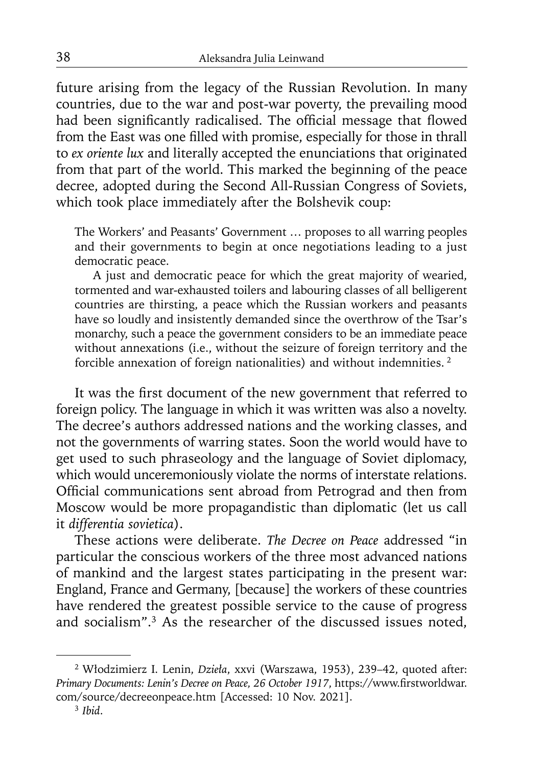future arising from the legacy of the Russian Revolution. In many countries, due to the war and post-war poverty, the prevailing mood had been significantly radicalised. The official message that flowed from the East was one filled with promise, especially for those in thrall to *ex oriente lux* and literally accepted the enunciations that originated from that part of the world. This marked the beginning of the peace decree, adopted during the Second All-Russian Congress of Soviets, which took place immediately after the Bolshevik coup:

The Workers' and Peasants' Government … proposes to all warring peoples and their governments to begin at once negotiations leading to a just democratic peace.

 A just and democratic peace for which the great majority of wearied, tormented and war-exhausted toilers and labouring classes of all belligerent countries are thirsting, a peace which the Russian workers and peasants have so loudly and insistently demanded since the overthrow of the Tsar's monarchy, such a peace the government considers to be an immediate peace without annexations (i.e., without the seizure of foreign territory and the forcible annexation of foreign nationalities) and without indemnities. 2

It was the first document of the new government that referred to foreign policy. The language in which it was written was also a novelty. The decree's authors addressed nations and the working classes, and not the governments of warring states. Soon the world would have to get used to such phraseology and the language of Soviet diplomacy, which would unceremoniously violate the norms of interstate relations. Official communications sent abroad from Petrograd and then from Moscow would be more propagandistic than diplomatic (let us call it *differentia sovietica*).

These actions were deliberate. *The Decree on Peace* addressed "in particular the conscious workers of the three most advanced nations of mankind and the largest states participating in the present war: England, France and Germany, [because] the workers of these countries have rendered the greatest possible service to the cause of progress and socialism".3 As the researcher of the discussed issues noted,

<sup>2</sup> Włodzimierz I. Lenin, *Dzieła*, xxvi (Warszawa, 1953), 239–42, quoted after: Primary Documents: Lenin's Decree on Peace, 26 October 1917, https://www.firstworldwar. com/source/decreeonpeace.htm [Accessed: 10 Nov. 2021]. 3 *Ibid*.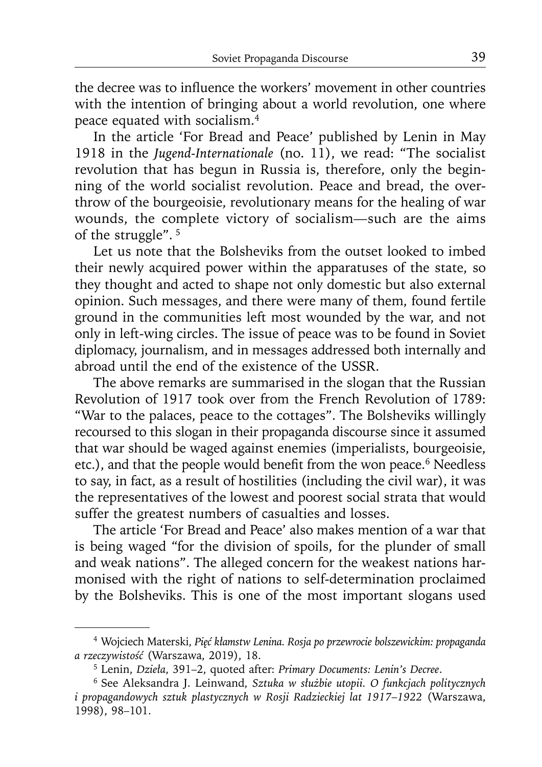the decree was to influence the workers' movement in other countries with the intention of bringing about a world revolution, one where peace equated with socialism.4

In the article 'For Bread and Peace' published by Lenin in May 1918 in the *Jugend-Internationale* (no. 11), we read: "The socialist revolution that has begun in Russia is, therefore, only the beginning of the world socialist revolution. Peace and bread, the overthrow of the bourgeoisie, revolutionary means for the healing of war wounds, the complete victory of socialism—such are the aims of the struggle". 5

Let us note that the Bolsheviks from the outset looked to imbed their newly acquired power within the apparatuses of the state, so they thought and acted to shape not only domestic but also external opinion. Such messages, and there were many of them, found fertile ground in the communities left most wounded by the war, and not only in left-wing circles. The issue of peace was to be found in Soviet diplomacy, journalism, and in messages addressed both internally and abroad until the end of the existence of the USSR.

The above remarks are summarised in the slogan that the Russian Revolution of 1917 took over from the French Revolution of 1789: "War to the palaces, peace to the cottages". The Bolsheviks willingly recoursed to this slogan in their propaganda discourse since it assumed that war should be waged against enemies (imperialists, bourgeoisie, etc.), and that the people would benefit from the won peace.<sup>6</sup> Needless to say, in fact, as a result of hostilities (including the civil war), it was the representatives of the lowest and poorest social strata that would suffer the greatest numbers of casualties and losses.

The article 'For Bread and Peace' also makes mention of a war that is being waged "for the division of spoils, for the plunder of small and weak nations". The alleged concern for the weakest nations harmonised with the right of nations to self-determination proclaimed by the Bolsheviks. This is one of the most important slogans used

<sup>4</sup> Wojciech Materski, *Pięć kłamstw Lenina. Rosja po przewrocie bolszewickim: propaganda a rzeczywistość* (Warszawa, 2019), 18. 5 Lenin, *Dzieła*, 391–2, quoted after: *Primary Documents: Lenin's Decree*.

<sup>6</sup> See Aleksandra J. Leinwand, *Sztuka w służbie utopii. O funkcjach politycznych i propagandowych sztuk plastycznych w Rosji Radzieckiej lat 1917*–*1922* (Warszawa, 1998), 98–101.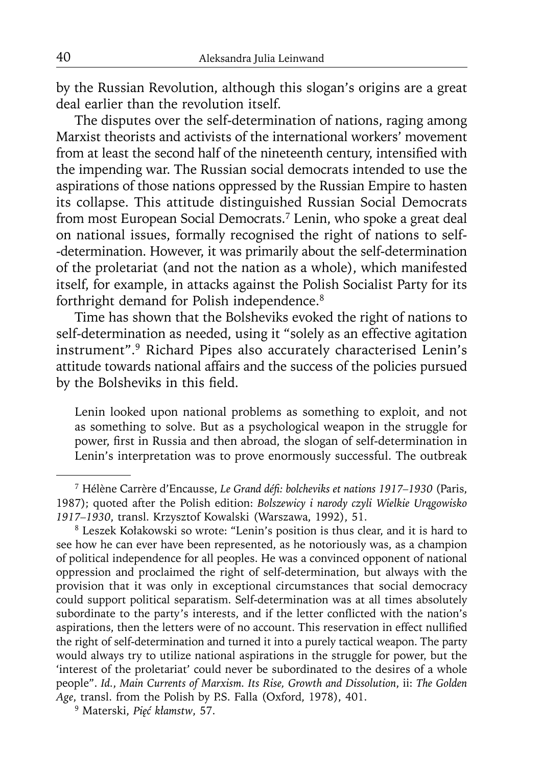by the Russian Revolution, although this slogan's origins are a great deal earlier than the revolution itself.

The disputes over the self-determination of nations, raging among Marxist theorists and activists of the international workers' movement from at least the second half of the nineteenth century, intensified with the impending war. The Russian social democrats intended to use the aspirations of those nations oppressed by the Russian Empire to hasten its collapse. This attitude distinguished Russian Social Democrats from most European Social Democrats.7 Lenin, who spoke a great deal on national issues, formally recognised the right of nations to self- -determination. However, it was primarily about the self-determination of the proletariat (and not the nation as a whole), which manifested itself, for example, in attacks against the Polish Socialist Party for its forthright demand for Polish independence.<sup>8</sup>

Time has shown that the Bolsheviks evoked the right of nations to self-determination as needed, using it "solely as an effective agitation instrument".9 Richard Pipes also accurately characterised Lenin's attitude towards national affairs and the success of the policies pursued by the Bolsheviks in this field.

Lenin looked upon national problems as something to exploit, and not as something to solve. But as a psychological weapon in the struggle for power, first in Russia and then abroad, the slogan of self-determination in Lenin's interpretation was to prove enormously successful. The outbreak

<sup>7</sup> Hélène Carrère d'Encausse, *Le Grand défi : bolcheviks et nations 1917–1930* (Paris, 1987); quoted after the Polish edition: *Bolszewicy i narody czyli Wielkie Urągowisko 1917–1930*, transl. Krzysztof Kowalski (Warszawa, 1992), 51. 8 Leszek Kołakowski so wrote: "Lenin's position is thus clear, and it is hard to

see how he can ever have been represented, as he notoriously was, as a champion of political independence for all peoples. He was a convinced opponent of national oppression and proclaimed the right of self-determination, but always with the provision that it was only in exceptional circumstances that social democracy could support political separatism. Self-determination was at all times absolutely subordinate to the party's interests, and if the letter conflicted with the nation's aspirations, then the letters were of no account. This reservation in effect nullified the right of self-determination and turned it into a purely tactical weapon. The party would always try to utilize national aspirations in the struggle for power, but the 'interest of the proletariat' could never be subordinated to the desires of a whole people". *Id.*, *Main Currents of Marxism. Its Rise, Growth and Dissolution*, ii: *The Golden Age*, transl. from the Polish by P.S. Falla (Oxford, 1978), 401.

<sup>9</sup> Materski, *Pięć kłamstw*, 57.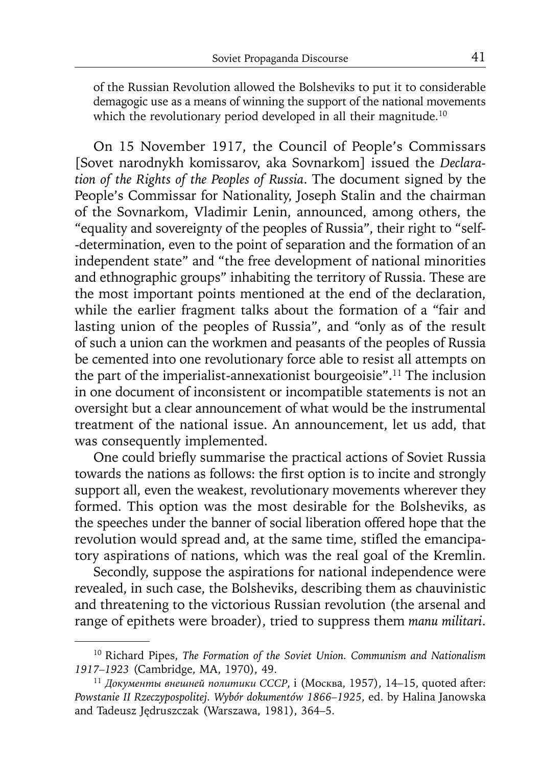of the Russian Revolution allowed the Bolsheviks to put it to considerable demagogic use as a means of winning the support of the national movements which the revolutionary period developed in all their magnitude.<sup>10</sup>

On 15 November 1917, the Council of People's Commissars [Sovet narodnykh komissarov, aka Sovnarkom] issued the *Declaration of the Rights of the Peoples of Russia*. The document signed by the People's Commissar for Nationality, Joseph Stalin and the chairman of the Sovnarkom, Vladimir Lenin, announced, among others, the "equality and sovereignty of the peoples of Russia", their right to "self- -determination, even to the point of separation and the formation of an independent state" and "the free development of national minorities and ethnographic groups" inhabiting the territory of Russia. These are the most important points mentioned at the end of the declaration, while the earlier fragment talks about the formation of a "fair and lasting union of the peoples of Russia", and "only as of the result of such a union can the workmen and peasants of the peoples of Russia be cemented into one revolutionary force able to resist all attempts on the part of the imperialist-annexationist bourgeoisie".11 The inclusion in one document of inconsistent or incompatible statements is not an oversight but a clear announcement of what would be the instrumental treatment of the national issue. An announcement, let us add, that was consequently implemented.

One could briefly summarise the practical actions of Soviet Russia towards the nations as follows: the first option is to incite and strongly support all, even the weakest, revolutionary movements wherever they formed. This option was the most desirable for the Bolsheviks, as the speeches under the banner of social liberation offered hope that the revolution would spread and, at the same time, stifled the emancipatory aspirations of nations, which was the real goal of the Kremlin.

Secondly, suppose the aspirations for national independence were revealed, in such case, the Bolsheviks, describing them as chauvinistic and threatening to the victorious Russian revolution (the arsenal and range of epithets were broader), tried to suppress them *manu militari*.

<sup>10</sup> Richard Pipes, *The Formation of the Soviet Union. Communism and Nationalism 1917–1923* (Cambridge, MA, 1970), 49. 11 *Документы внешней политики СССР*, i (Moсквa, 1957), 14–15, quoted after:

*Powstanie II Rzeczypospolitej. Wybór dokumentów 1866–1925*, ed. by Halina Janowska and Tadeusz Jędruszczak (Warszawa, 1981), 364–5.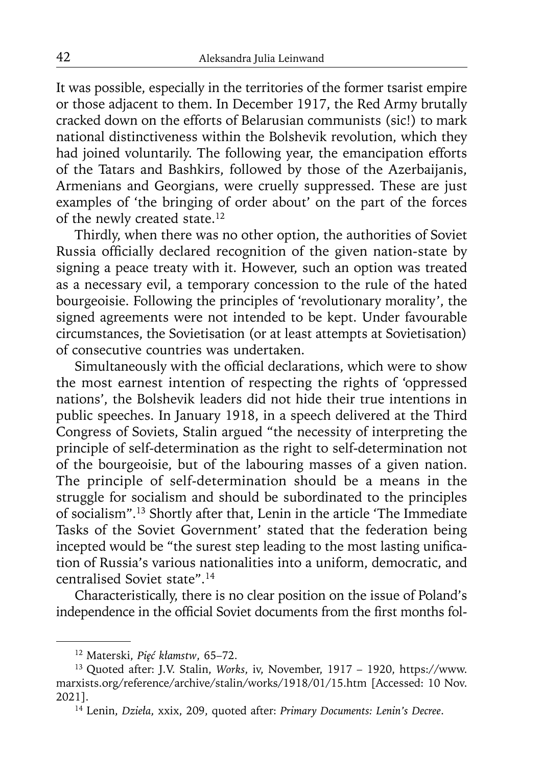It was possible, especially in the territories of the former tsarist empire or those adjacent to them. In December 1917, the Red Army brutally cracked down on the efforts of Belarusian communists (sic!) to mark national distinctiveness within the Bolshevik revolution, which they had joined voluntarily. The following year, the emancipation efforts of the Tatars and Bashkirs, followed by those of the Azerbaijanis, Armenians and Georgians, were cruelly suppressed. These are just examples of 'the bringing of order about' on the part of the forces of the newly created state.12

Thirdly, when there was no other option, the authorities of Soviet Russia officially declared recognition of the given nation-state by signing a peace treaty with it. However, such an option was treated as a necessary evil, a temporary concession to the rule of the hated bourgeoisie. Following the principles of 'revolutionary morality', the signed agreements were not intended to be kept. Under favourable circumstances, the Sovietisation (or at least attempts at Sovietisation) of consecutive countries was undertaken.

Simultaneously with the official declarations, which were to show the most earnest intention of respecting the rights of 'oppressed nations', the Bolshevik leaders did not hide their true intentions in public speeches. In January 1918, in a speech delivered at the Third Congress of Soviets, Stalin argued "the necessity of interpreting the principle of self-determination as the right to self-determination not of the bourgeoisie, but of the labouring masses of a given nation. The principle of self-determination should be a means in the struggle for socialism and should be subordinated to the principles of socialism".13 Shortly after that, Lenin in the article 'The Immediate Tasks of the Soviet Government' stated that the federation being incepted would be "the surest step leading to the most lasting unification of Russia's various nationalities into a uniform, democratic, and centralised Soviet state".14

Characteristically, there is no clear position on the issue of Poland's independence in the official Soviet documents from the first months fol-

<sup>12</sup> Materski, *Pięć kłamstw*, 65–72.

<sup>13</sup> Quoted after: J.V. Stalin, *Works*, iv, November, 1917 – 1920, https://www. marxists.org/reference/archive/stalin/works/1918/01/15.htm [Accessed: 10 Nov. 2021].

<sup>14</sup> Lenin, *Dzieła*, xxix, 209, quoted after: *Primary Documents: Lenin's Decree*.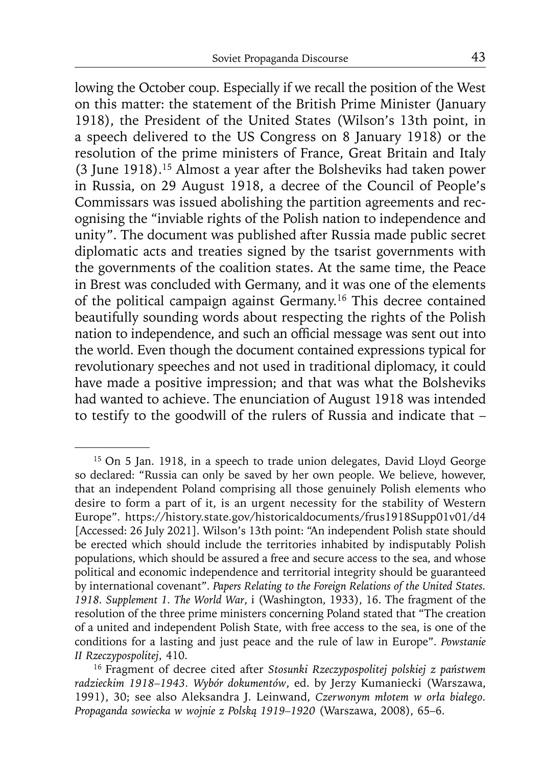lowing the October coup. Especially if we recall the position of the West on this matter: the statement of the British Prime Minister (January 1918), the President of the United States (Wilson's 13th point, in a speech delivered to the US Congress on 8 January 1918) or the resolution of the prime ministers of France, Great Britain and Italy (3 June 1918).15 Almost a year after the Bolsheviks had taken power in Russia, on 29 August 1918, a decree of the Council of People's Commissars was issued abolishing the partition agreements and recognising the "inviable rights of the Polish nation to independence and unity". The document was published after Russia made public secret diplomatic acts and treaties signed by the tsarist governments with the governments of the coalition states. At the same time, the Peace in Brest was concluded with Germany, and it was one of the elements of the political campaign against Germany.16 This decree contained beautifully sounding words about respecting the rights of the Polish nation to independence, and such an official message was sent out into the world. Even though the document contained expressions typical for revolutionary speeches and not used in traditional diplomacy, it could have made a positive impression; and that was what the Bolsheviks had wanted to achieve. The enunciation of August 1918 was intended to testify to the goodwill of the rulers of Russia and indicate that –

<sup>&</sup>lt;sup>15</sup> On 5 Jan. 1918, in a speech to trade union delegates, David Lloyd George so declared: "Russia can only be saved by her own people. We believe, however, that an independent Poland comprising all those genuinely Polish elements who desire to form a part of it, is an urgent necessity for the stability of Western Europe". https://history.state.gov/historicaldocuments/frus1918Supp01v01/d4 [Accessed: 26 July 2021]. Wilson's 13th point: "An independent Polish state should be erected which should include the territories inhabited by indisputably Polish populations, which should be assured a free and secure access to the sea, and whose political and economic independence and territorial integrity should be guaranteed by international covenant". *Papers Relating to the Foreign Relations of the United States. 1918. Supplement 1. The World War*, i (Washington, 1933), 16. The fragment of the resolution of the three prime ministers concerning Poland stated that "The creation of a united and independent Polish State, with free access to the sea, is one of the conditions for a lasting and just peace and the rule of law in Europe". *Powstanie II Rzeczypospolitej*, 410.

<sup>16</sup> Fragment of decree cited after *Stosunki Rzeczypospolitej polskiej z państwem radzieckim 1918–1943. Wybór dokumentów*, ed. by Jerzy Kumaniecki (Warszawa, 1991), 30; see also Aleksandra J. Leinwand, *Czerwonym młotem w orła białego. Propaganda sowiecka w wojnie z Polską 1919–1920* (Warszawa, 2008), 65–6.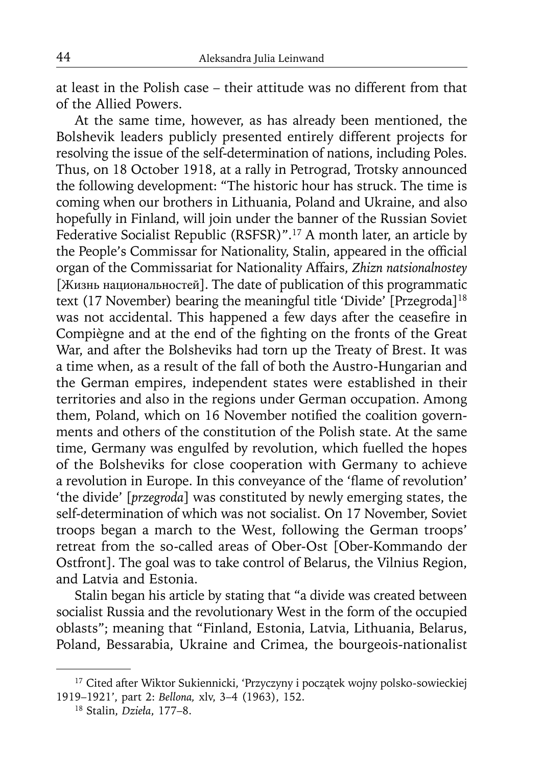at least in the Polish case – their attitude was no different from that of the Allied Powers.

At the same time, however, as has already been mentioned, the Bolshevik leaders publicly presented entirely different projects for resolving the issue of the self-determination of nations, including Poles. Thus, on 18 October 1918, at a rally in Petrograd, Trotsky announced the following development: "The historic hour has struck. The time is coming when our brothers in Lithuania, Poland and Ukraine, and also hopefully in Finland, will join under the banner of the Russian Soviet Federative Socialist Republic (RSFSR)".17 A month later, an article by the People's Commissar for Nationality, Stalin, appeared in the official organ of the Commissariat for Nationality Affairs, *Zhizn natsionalnostey*  [Жизнь национальностей]. The date of publication of this programmatic text (17 November) bearing the meaningful title 'Divide' [Przegroda]<sup>18</sup> was not accidental. This happened a few days after the ceasefire in Compiègne and at the end of the fighting on the fronts of the Great War, and after the Bolsheviks had torn up the Treaty of Brest. It was a time when, as a result of the fall of both the Austro-Hungarian and the German empires, independent states were established in their territories and also in the regions under German occupation. Among them, Poland, which on 16 November notified the coalition governments and others of the constitution of the Polish state. At the same time, Germany was engulfed by revolution, which fuelled the hopes of the Bolsheviks for close cooperation with Germany to achieve a revolution in Europe. In this conveyance of the 'flame of revolution' 'the divide' [*przegroda*] was constituted by newly emerging states, the self-determination of which was not socialist. On 17 November, Soviet troops began a march to the West, following the German troops' retreat from the so-called areas of Ober-Ost [Ober-Kommando der Ostfront]. The goal was to take control of Belarus, the Vilnius Region, and Latvia and Estonia.

Stalin began his article by stating that "a divide was created between socialist Russia and the revolutionary West in the form of the occupied oblasts"; meaning that "Finland, Estonia, Latvia, Lithuania, Belarus, Poland, Bessarabia, Ukraine and Crimea, the bourgeois-nationalist

<sup>&</sup>lt;sup>17</sup> Cited after Wiktor Sukiennicki, 'Przyczyny i początek wojny polsko-sowieckiej 1919–1921', part 2: *Bellona,* xlv, 3–4 (1963), 152.

<sup>18</sup> Stalin, *Dzieła*, 177–8.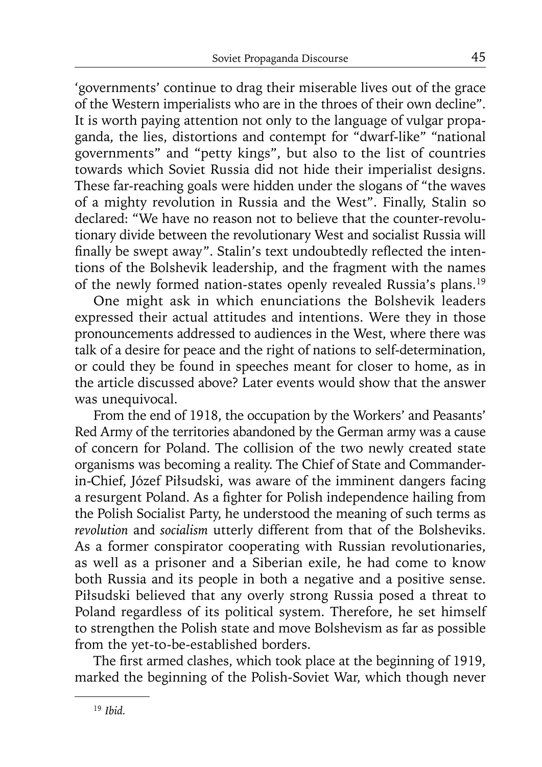'governments' continue to drag their miserable lives out of the grace of the Western imperialists who are in the throes of their own decline". It is worth paying attention not only to the language of vulgar propaganda, the lies, distortions and contempt for "dwarf-like" "national governments" and "petty kings", but also to the list of countries towards which Soviet Russia did not hide their imperialist designs. These far-reaching goals were hidden under the slogans of "the waves of a mighty revolution in Russia and the West". Finally, Stalin so declared: "We have no reason not to believe that the counter-revolutionary divide between the revolutionary West and socialist Russia will finally be swept away". Stalin's text undoubtedly reflected the intentions of the Bolshevik leadership, and the fragment with the names of the newly formed nation-states openly revealed Russia's plans.19

One might ask in which enunciations the Bolshevik leaders expressed their actual attitudes and intentions. Were they in those pronouncements addressed to audiences in the West, where there was talk of a desire for peace and the right of nations to self-determination, or could they be found in speeches meant for closer to home, as in the article discussed above? Later events would show that the answer was unequivocal.

From the end of 1918, the occupation by the Workers' and Peasants' Red Army of the territories abandoned by the German army was a cause of concern for Poland. The collision of the two newly created state organisms was becoming a reality. The Chief of State and Commanderin-Chief, Józef Piłsudski, was aware of the imminent dangers facing a resurgent Poland. As a fighter for Polish independence hailing from the Polish Socialist Party, he understood the meaning of such terms as *revolution* and *socialism* utterly different from that of the Bolsheviks. As a former conspirator cooperating with Russian revolutionaries, as well as a prisoner and a Siberian exile, he had come to know both Russia and its people in both a negative and a positive sense. Piłsudski believed that any overly strong Russia posed a threat to Poland regardless of its political system. Therefore, he set himself to strengthen the Polish state and move Bolshevism as far as possible from the yet-to-be-established borders.

The first armed clashes, which took place at the beginning of 1919, marked the beginning of the Polish-Soviet War, which though never

<sup>19</sup> *Ibid.*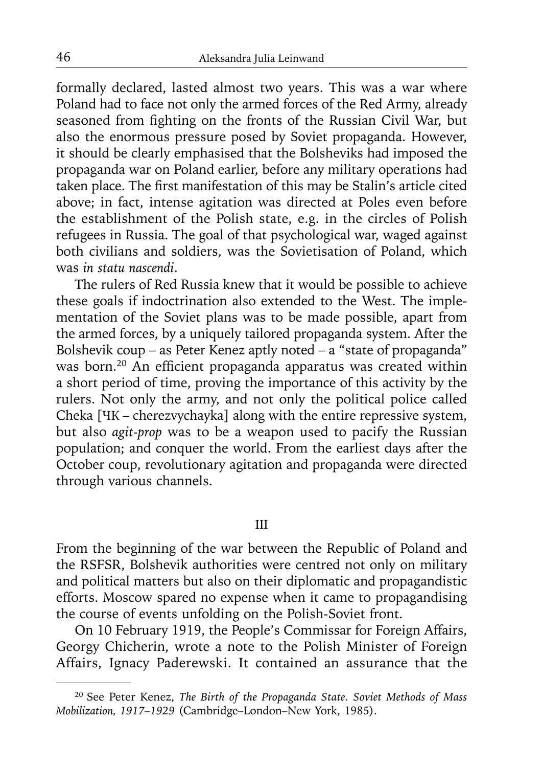formally declared, lasted almost two years. This was a war where Poland had to face not only the armed forces of the Red Army, already seasoned from fighting on the fronts of the Russian Civil War, but also the enormous pressure posed by Soviet propaganda. However, it should be clearly emphasised that the Bolsheviks had imposed the propaganda war on Poland earlier, before any military operations had taken place. The first manifestation of this may be Stalin's article cited above; in fact, intense agitation was directed at Poles even before the establishment of the Polish state, e.g. in the circles of Polish refugees in Russia. The goal of that psychological war, waged against both civilians and soldiers, was the Sovietisation of Poland, which was *in statu nascendi*.

The rulers of Red Russia knew that it would be possible to achieve these goals if indoctrination also extended to the West. The implementation of the Soviet plans was to be made possible, apart from the armed forces, by a uniquely tailored propaganda system. After the Bolshevik coup – as Peter Kenez aptly noted – a "state of propaganda" was born.<sup>20</sup> An efficient propaganda apparatus was created within a short period of time, proving the importance of this activity by the rulers. Not only the army, and not only the political police called Cheka [ЧК – cherezvychayka] along with the entire repressive system, but also *agit-prop* was to be a weapon used to pacify the Russian population; and conquer the world. From the earliest days after the October coup, revolutionary agitation and propaganda were directed through various channels.

#### III

From the beginning of the war between the Republic of Poland and the RSFSR, Bolshevik authorities were centred not only on military and political matters but also on their diplomatic and propagandistic efforts. Moscow spared no expense when it came to propagandising the course of events unfolding on the Polish-Soviet front.

On 10 February 1919, the People's Commissar for Foreign Affairs, Georgy Chicherin, wrote a note to the Polish Minister of Foreign Affairs, Ignacy Paderewski. It contained an assurance that the

<sup>20</sup> See Peter Kenez, *The Birth of the Propaganda State. Soviet Methods of Mass Mobilization, 1917–1929* (Cambridge*–*London*–*New York, 1985).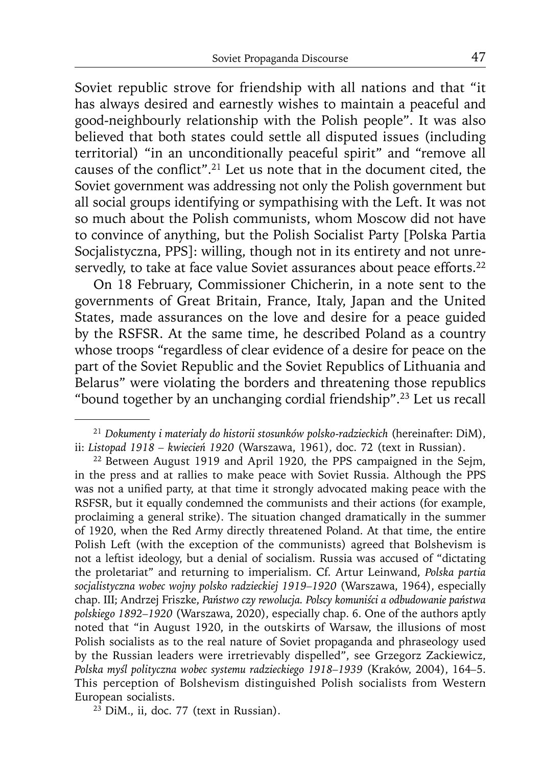Soviet republic strove for friendship with all nations and that "it has always desired and earnestly wishes to maintain a peaceful and good-neighbourly relationship with the Polish people". It was also believed that both states could settle all disputed issues (including territorial) "in an unconditionally peaceful spirit" and "remove all causes of the conflict".<sup>21</sup> Let us note that in the document cited, the Soviet government was addressing not only the Polish government but all social groups identifying or sympathising with the Left. It was not so much about the Polish communists, whom Moscow did not have to convince of anything, but the Polish Socialist Party [Polska Partia Socjalistyczna, PPS]: willing, though not in its entirety and not unreservedly, to take at face value Soviet assurances about peace efforts.<sup>22</sup>

On 18 February, Commissioner Chicherin, in a note sent to the governments of Great Britain, France, Italy, Japan and the United States, made assurances on the love and desire for a peace guided by the RSFSR. At the same time, he described Poland as a country whose troops "regardless of clear evidence of a desire for peace on the part of the Soviet Republic and the Soviet Republics of Lithuania and Belarus" were violating the borders and threatening those republics "bound together by an unchanging cordial friendship".23 Let us recall

<sup>21</sup>*Dokumenty i materiały do historii stosunków polsko-radzieckich* (hereinafter: DiM), ii: *Listopad 1918 – kwiecień 1920* (Warszawa, 1961), doc. 72 (text in Russian).

<sup>&</sup>lt;sup>22</sup> Between August 1919 and April 1920, the PPS campaigned in the Sejm, in the press and at rallies to make peace with Soviet Russia. Although the PPS was not a unified party, at that time it strongly advocated making peace with the RSFSR, but it equally condemned the communists and their actions (for example, proclaiming a general strike). The situation changed dramatically in the summer of 1920, when the Red Army directly threatened Poland. At that time, the entire Polish Left (with the exception of the communists) agreed that Bolshevism is not a leftist ideology, but a denial of socialism. Russia was accused of "dictating the proletariat" and returning to imperialism. Cf. Artur Leinwand, *Polska partia socjalistyczna wobec wojny polsko radzieckiej 1919–1920* (Warszawa, 1964), especially chap. III; Andrzej Friszke, *Państwo czy rewolucja. Polscy komuniści a odbudowanie państwa polskiego 1892–1920* (Warszawa, 2020), especially chap. 6. One of the authors aptly noted that "in August 1920, in the outskirts of Warsaw, the illusions of most Polish socialists as to the real nature of Soviet propaganda and phraseology used by the Russian leaders were irretrievably dispelled", see Grzegorz Zackiewicz, *Polska myśl polityczna wobec systemu radzieckiego 1918–1939* (Kraków, 2004), 164*–*5. This perception of Bolshevism distinguished Polish socialists from Western European socialists.

 $23$  DiM., ii, doc. 77 (text in Russian).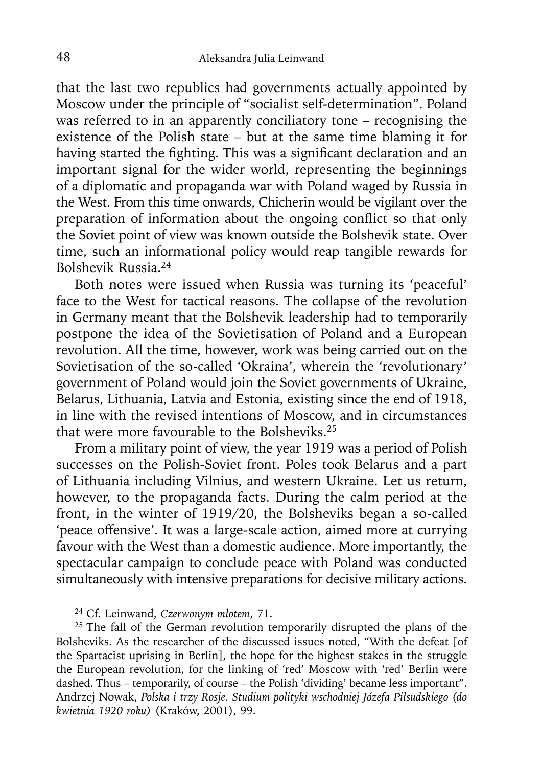that the last two republics had governments actually appointed by Moscow under the principle of "socialist self-determination". Poland was referred to in an apparently conciliatory tone – recognising the existence of the Polish state – but at the same time blaming it for having started the fighting. This was a significant declaration and an important signal for the wider world, representing the beginnings of a diplomatic and propaganda war with Poland waged by Russia in the West. From this time onwards, Chicherin would be vigilant over the preparation of information about the ongoing conflict so that only the Soviet point of view was known outside the Bolshevik state. Over time, such an informational policy would reap tangible rewards for Bolshevik Russia.24

Both notes were issued when Russia was turning its 'peaceful' face to the West for tactical reasons. The collapse of the revolution in Germany meant that the Bolshevik leadership had to temporarily postpone the idea of the Sovietisation of Poland and a European revolution. All the time, however, work was being carried out on the Sovietisation of the so-called 'Okraina', wherein the 'revolutionary' government of Poland would join the Soviet governments of Ukraine, Belarus, Lithuania, Latvia and Estonia, existing since the end of 1918, in line with the revised intentions of Moscow, and in circumstances that were more favourable to the Bolsheviks.25

From a military point of view, the year 1919 was a period of Polish successes on the Polish-Soviet front. Poles took Belarus and a part of Lithuania including Vilnius, and western Ukraine. Let us return, however, to the propaganda facts. During the calm period at the front, in the winter of 1919/20, the Bolsheviks began a so-called 'peace offensive'. It was a large-scale action, aimed more at currying favour with the West than a domestic audience. More importantly, the spectacular campaign to conclude peace with Poland was conducted simultaneously with intensive preparations for decisive military actions.

<sup>24</sup> Cf. Leinwand, *Czerwonym młotem*, 71.

<sup>&</sup>lt;sup>25</sup> The fall of the German revolution temporarily disrupted the plans of the Bolsheviks. As the researcher of the discussed issues noted, "With the defeat [of the Spartacist uprising in Berlin], the hope for the highest stakes in the struggle the European revolution, for the linking of 'red' Moscow with 'red' Berlin were dashed. Thus – temporarily, of course – the Polish 'dividing' became less important". Andrzej Nowak, *Polska i trzy Rosje. Studium polityki wschodniej Józefa Piłsudskiego (do kwietnia 1920 roku)* (Kraków, 2001), 99.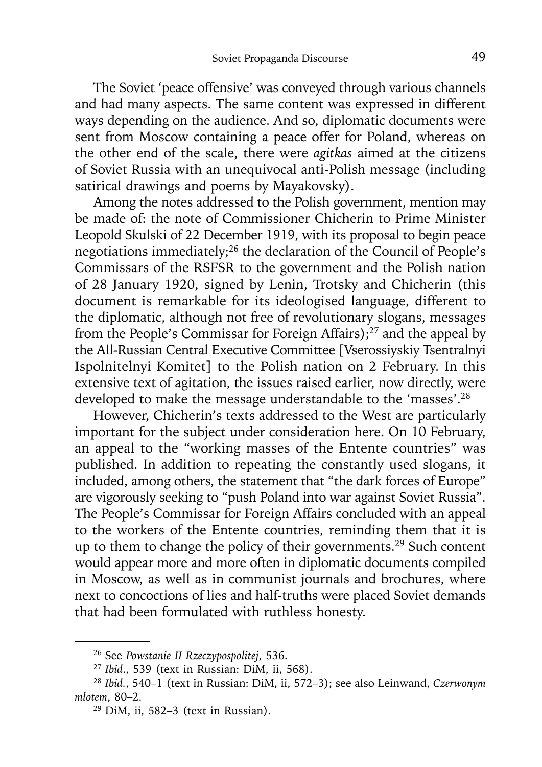The Soviet 'peace offensive' was conveyed through various channels and had many aspects. The same content was expressed in different ways depending on the audience. And so, diplomatic documents were sent from Moscow containing a peace offer for Poland, whereas on the other end of the scale, there were *agitkas* aimed at the citizens of Soviet Russia with an unequivocal anti-Polish message (including satirical drawings and poems by Mayakovsky).

Among the notes addressed to the Polish government, mention may be made of: the note of Commissioner Chicherin to Prime Minister Leopold Skulski of 22 December 1919, with its proposal to begin peace negotiations immediately;26 the declaration of the Council of People's Commissars of the RSFSR to the government and the Polish nation of 28 January 1920, signed by Lenin, Trotsky and Chicherin (this document is remarkable for its ideologised language, different to the diplomatic, although not free of revolutionary slogans, messages from the People's Commissar for Foreign Affairs);<sup>27</sup> and the appeal by the All-Russian Central Executive Committee [Vserossiyskiy Tsentralnyi Ispolnitelnyi Komitet] to the Polish nation on 2 February. In this extensive text of agitation, the issues raised earlier, now directly, were developed to make the message understandable to the 'masses'.28

However, Chicherin's texts addressed to the West are particularly important for the subject under consideration here. On 10 February, an appeal to the "working masses of the Entente countries" was published. In addition to repeating the constantly used slogans, it included, among others, the statement that "the dark forces of Europe" are vigorously seeking to "push Poland into war against Soviet Russia". The People's Commissar for Foreign Affairs concluded with an appeal to the workers of the Entente countries, reminding them that it is up to them to change the policy of their governments.<sup>29</sup> Such content would appear more and more often in diplomatic documents compiled in Moscow, as well as in communist journals and brochures, where next to concoctions of lies and half-truths were placed Soviet demands that had been formulated with ruthless honesty.

<sup>26</sup> See *Powstanie II Rzeczypospolitej*, 536.

<sup>27</sup>*Ibid*., 539 (text in Russian: DiM, ii, 568).

<sup>28</sup>*Ibid.*, 540–1 (text in Russian: DiM, ii, 572–3); see also Leinwand, *Czerwonym młotem*, 80–2.

<sup>29</sup> DiM, ii, 582–3 (text in Russian).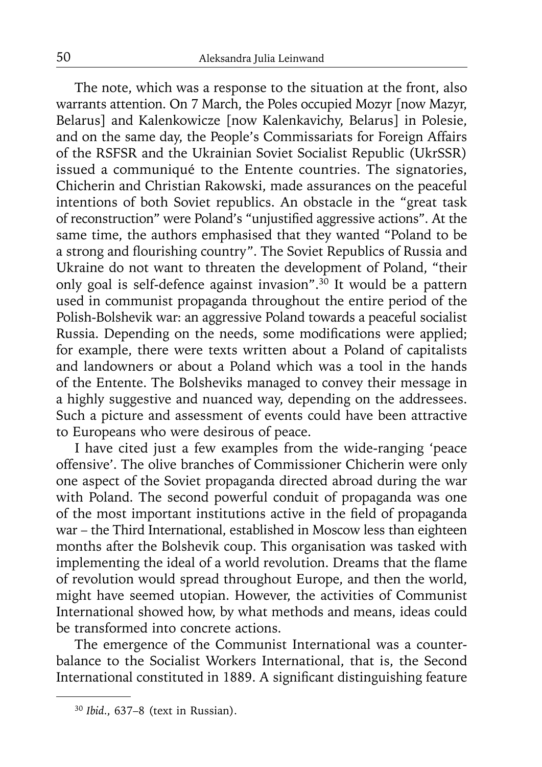The note, which was a response to the situation at the front, also warrants attention. On 7 March, the Poles occupied Mozyr [now Mazyr, Belarus] and Kalenkowicze [now Kalenkavichy, Belarus] in Polesie, and on the same day, the People's Commissariats for Foreign Affairs of the RSFSR and the Ukrainian Soviet Socialist Republic (UkrSSR) issued a communiqué to the Entente countries. The signatories, Chicherin and Christian Rakowski, made assurances on the peaceful intentions of both Soviet republics. An obstacle in the "great task of reconstruction" were Poland's "unjustified aggressive actions". At the same time, the authors emphasised that they wanted "Poland to be a strong and flourishing country". The Soviet Republics of Russia and Ukraine do not want to threaten the development of Poland, "their only goal is self-defence against invasion".<sup>30</sup> It would be a pattern used in communist propaganda throughout the entire period of the Polish-Bolshevik war: an aggressive Poland towards a peaceful socialist Russia. Depending on the needs, some modifications were applied; for example, there were texts written about a Poland of capitalists and landowners or about a Poland which was a tool in the hands of the Entente. The Bolsheviks managed to convey their message in a highly suggestive and nuanced way, depending on the addressees. Such a picture and assessment of events could have been attractive to Europeans who were desirous of peace.

I have cited just a few examples from the wide-ranging 'peace offensive'. The olive branches of Commissioner Chicherin were only one aspect of the Soviet propaganda directed abroad during the war with Poland. The second powerful conduit of propaganda was one of the most important institutions active in the field of propaganda war – the Third International, established in Moscow less than eighteen months after the Bolshevik coup. This organisation was tasked with implementing the ideal of a world revolution. Dreams that the flame of revolution would spread throughout Europe, and then the world, might have seemed utopian. However, the activities of Communist International showed how, by what methods and means, ideas could be transformed into concrete actions.

The emergence of the Communist International was a counterbalance to the Socialist Workers International, that is, the Second International constituted in 1889. A significant distinguishing feature

<sup>30</sup> *Ibid*., 637–8 (text in Russian).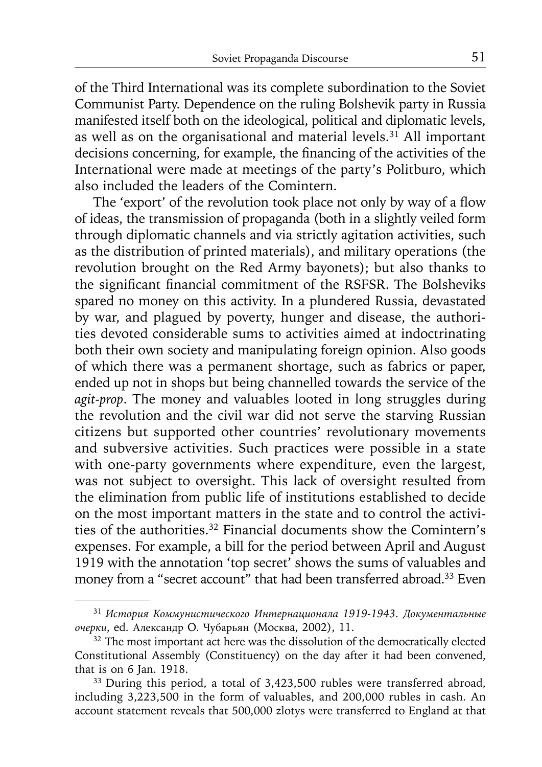of the Third International was its complete subordination to the Soviet Communist Party. Dependence on the ruling Bolshevik party in Russia manifested itself both on the ideological, political and diplomatic levels, as well as on the organisational and material levels.<sup>31</sup> All important decisions concerning, for example, the financing of the activities of the International were made at meetings of the party's Politburo, which also included the leaders of the Comintern.

The 'export' of the revolution took place not only by way of a flow of ideas, the transmission of propaganda (both in a slightly veiled form through diplomatic channels and via strictly agitation activities, such as the distribution of printed materials), and military operations (the revolution brought on the Red Army bayonets); but also thanks to the significant financial commitment of the RSFSR. The Bolsheviks spared no money on this activity. In a plundered Russia, devastated by war, and plagued by poverty, hunger and disease, the authorities devoted considerable sums to activities aimed at indoctrinating both their own society and manipulating foreign opinion. Also goods of which there was a permanent shortage, such as fabrics or paper, ended up not in shops but being channelled towards the service of the *agit-prop*. The money and valuables looted in long struggles during the revolution and the civil war did not serve the starving Russian citizens but supported other countries' revolutionary movements and subversive activities. Such practices were possible in a state with one-party governments where expenditure, even the largest, was not subject to oversight. This lack of oversight resulted from the elimination from public life of institutions established to decide on the most important matters in the state and to control the activities of the authorities.32 Financial documents show the Comintern's expenses. For example, a bill for the period between April and August 1919 with the annotation 'top secret' shows the sums of valuables and money from a "secret account" that had been transferred abroad.<sup>33</sup> Even

<sup>31</sup>*История Коммунистического Интернационала 1919-1943. Документальные очерки*, ed. Александр O. Чубарьян (Moсквa, 2002), 11. 32 The most important act here was the dissolution of the democratically elected

Constitutional Assembly (Constituency) on the day after it had been convened, that is on 6 Jan. 1918.

<sup>&</sup>lt;sup>33</sup> During this period, a total of 3,423,500 rubles were transferred abroad, including 3,223,500 in the form of valuables, and 200,000 rubles in cash. An account statement reveals that 500,000 zlotys were transferred to England at that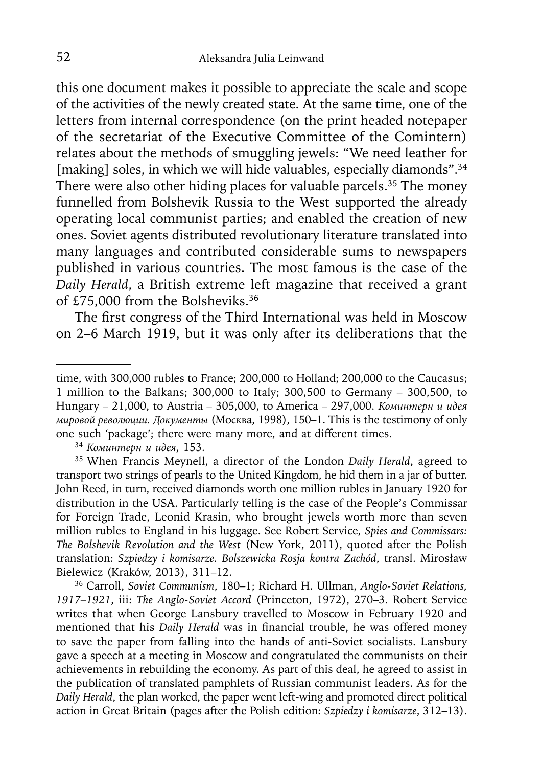this one document makes it possible to appreciate the scale and scope of the activities of the newly created state. At the same time, one of the letters from internal correspondence (on the print headed notepaper of the secretariat of the Executive Committee of the Comintern) relates about the methods of smuggling jewels: "We need leather for [making] soles, in which we will hide valuables, especially diamonds".<sup>34</sup> There were also other hiding places for valuable parcels.<sup>35</sup> The money funnelled from Bolshevik Russia to the West supported the already operating local communist parties; and enabled the creation of new ones. Soviet agents distributed revolutionary literature translated into many languages and contributed considerable sums to newspapers published in various countries. The most famous is the case of the *Daily Herald*, a British extreme left magazine that received a grant of £75,000 from the Bolsheviks.36

The first congress of the Third International was held in Moscow on 2–6 March 1919, but it was only after its deliberations that the

35 When Francis Meynell, a director of the London *Daily Herald*, agreed to transport two strings of pearls to the United Kingdom, he hid them in a jar of butter. John Reed, in turn, received diamonds worth one million rubles in January 1920 for distribution in the USA. Particularly telling is the case of the People's Commissar for Foreign Trade, Leonid Krasin, who brought jewels worth more than seven million rubles to England in his luggage. See Robert Service, *Spies and Commissars: The Bolshevik Revolution and the West* (New York, 2011), quoted after the Polish translation: *Szpiedzy i komisarze. Bolszewicka Rosja kontra Zachód*, transl. Mirosław Bielewicz (Kraków, 2013), 311–12.

36 Carroll, *Soviet Communism*, 180–1; Richard H. Ullman, *Anglo-Soviet Relations, 1917–1921*, iii: *The Anglo-Soviet Accord* (Princeton, 1972), 270–3. Robert Service writes that when George Lansbury travelled to Moscow in February 1920 and mentioned that his *Daily Herald* was in financial trouble, he was offered money to save the paper from falling into the hands of anti-Soviet socialists. Lansbury gave a speech at a meeting in Moscow and congratulated the communists on their achievements in rebuilding the economy. As part of this deal, he agreed to assist in the publication of translated pamphlets of Russian communist leaders. As for the *Daily Herald*, the plan worked, the paper went left-wing and promoted direct political action in Great Britain (pages after the Polish edition: *Szpiedzy i komisarze*, 312–13).

time, with 300,000 rubles to France; 200,000 to Holland; 200,000 to the Caucasus; 1 million to the Balkans; 300,000 to Italy; 300,500 to Germany – 300,500, to Hungary – 21,000, to Austria – 305,000, to America – 297,000. *Коминтерн и идея мировой революции. Документы* (Moсквa, 1998), 150–1. This is the testimony of only one such 'package'; there were many more, and at different times. 34 *Коминтерн <sup>и</sup> идея*, 153.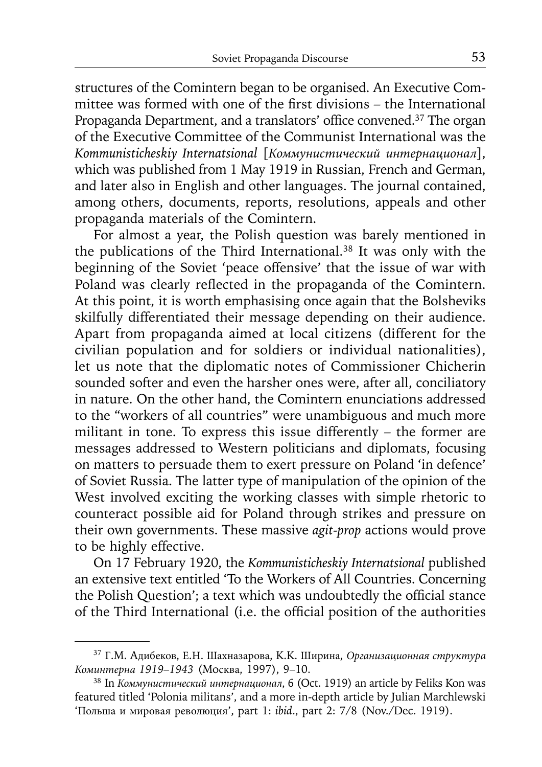structures of the Comintern began to be organised. An Executive Committee was formed with one of the first divisions – the International Propaganda Department, and a translators' office convened.<sup>37</sup> The organ of the Executive Committee of the Communist International was the *Kommunisticheskiy Internatsional* [*Коммунистический интернационал*], which was published from 1 May 1919 in Russian, French and German, and later also in English and other languages. The journal contained, among others, documents, reports, resolutions, appeals and other propaganda materials of the Comintern.

For almost a year, the Polish question was barely mentioned in the publications of the Third International.38 It was only with the beginning of the Soviet 'peace offensive' that the issue of war with Poland was clearly reflected in the propaganda of the Comintern. At this point, it is worth emphasising once again that the Bolsheviks skilfully differentiated their message depending on their audience. Apart from propaganda aimed at local citizens (different for the civilian population and for soldiers or individual nationalities), let us note that the diplomatic notes of Commissioner Chicherin sounded softer and even the harsher ones were, after all, conciliatory in nature. On the other hand, the Comintern enunciations addressed to the "workers of all countries" were unambiguous and much more militant in tone. To express this issue differently – the former are messages addressed to Western politicians and diplomats, focusing on matters to persuade them to exert pressure on Poland 'in defence' of Soviet Russia. The latter type of manipulation of the opinion of the West involved exciting the working classes with simple rhetoric to counteract possible aid for Poland through strikes and pressure on their own governments. These massive *agit-prop* actions would prove to be highly effective.

On 17 February 1920, the *Kommunisticheskiy Internatsional* published an extensive text entitled 'To the Workers of All Countries. Concerning the Polish Question'; a text which was undoubtedly the official stance of the Third International (i.e. the official position of the authorities

<sup>37</sup>Г.M. Aдибеков, Е.Н. Шахназарова, K.K. Ширина, *Организационная структура Коминтерна 1919–1943* (Moсква, 1997), 9–10. 38 In *Коммунистический интернационал*, 6 (Oct. 1919) an article by Feliks Kon was

featured titled 'Polonia militans', and a more in-depth article by Julian Marchlewski 'Польша и мировая революция', part 1: *ibid*., part 2: 7/8 (Nov./Dec. 1919).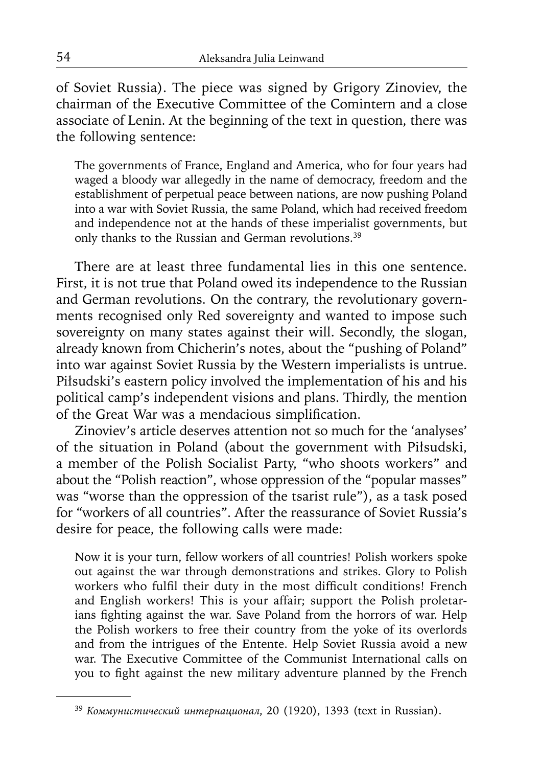of Soviet Russia). The piece was signed by Grigory Zinoviev, the chairman of the Executive Committee of the Comintern and a close associate of Lenin. At the beginning of the text in question, there was the following sentence:

The governments of France, England and America, who for four years had waged a bloody war allegedly in the name of democracy, freedom and the establishment of perpetual peace between nations, are now pushing Poland into a war with Soviet Russia, the same Poland, which had received freedom and independence not at the hands of these imperialist governments, but only thanks to the Russian and German revolutions.<sup>39</sup>

There are at least three fundamental lies in this one sentence. First, it is not true that Poland owed its independence to the Russian and German revolutions. On the contrary, the revolutionary governments recognised only Red sovereignty and wanted to impose such sovereignty on many states against their will. Secondly, the slogan, already known from Chicherin's notes, about the "pushing of Poland" into war against Soviet Russia by the Western imperialists is untrue. Piłsudski's eastern policy involved the implementation of his and his political camp's independent visions and plans. Thirdly, the mention of the Great War was a mendacious simplification.

Zinoviev's article deserves attention not so much for the 'analyses' of the situation in Poland (about the government with Piłsudski, a member of the Polish Socialist Party, "who shoots workers" and about the "Polish reaction", whose oppression of the "popular masses" was "worse than the oppression of the tsarist rule"), as a task posed for "workers of all countries". After the reassurance of Soviet Russia's desire for peace, the following calls were made:

Now it is your turn, fellow workers of all countries! Polish workers spoke out against the war through demonstrations and strikes. Glory to Polish workers who fulfil their duty in the most difficult conditions! French and English workers! This is your affair; support the Polish proletarians fighting against the war. Save Poland from the horrors of war. Help the Polish workers to free their country from the yoke of its overlords and from the intrigues of the Entente. Help Soviet Russia avoid a new war. The Executive Committee of the Communist International calls on you to fight against the new military adventure planned by the French

<sup>39</sup>*Коммунистический интернационал*, 20 (1920), 1393 (text in Russian).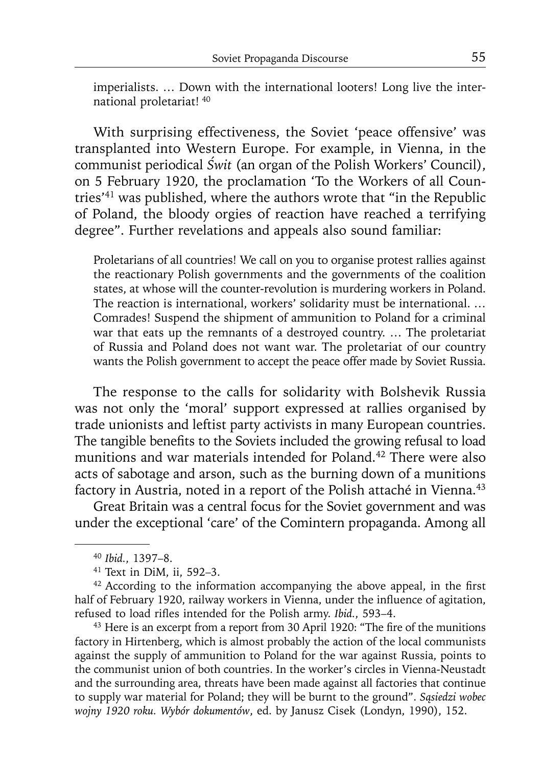imperialists. … Down with the international looters! Long live the international proletariat! 40

With surprising effectiveness, the Soviet 'peace offensive' was transplanted into Western Europe. For example, in Vienna, in the communist periodical *Świt* (an organ of the Polish Workers' Council), on 5 February 1920, the proclamation 'To the Workers of all Countries'41 was published, where the authors wrote that "in the Republic of Poland, the bloody orgies of reaction have reached a terrifying degree". Further revelations and appeals also sound familiar:

Proletarians of all countries! We call on you to organise protest rallies against the reactionary Polish governments and the governments of the coalition states, at whose will the counter-revolution is murdering workers in Poland. The reaction is international, workers' solidarity must be international. … Comrades! Suspend the shipment of ammunition to Poland for a criminal war that eats up the remnants of a destroyed country. … The proletariat of Russia and Poland does not want war. The proletariat of our country wants the Polish government to accept the peace offer made by Soviet Russia.

The response to the calls for solidarity with Bolshevik Russia was not only the 'moral' support expressed at rallies organised by trade unionists and leftist party activists in many European countries. The tangible benefits to the Soviets included the growing refusal to load munitions and war materials intended for Poland.<sup>42</sup> There were also acts of sabotage and arson, such as the burning down of a munitions factory in Austria, noted in a report of the Polish attaché in Vienna.<sup>43</sup>

Great Britain was a central focus for the Soviet government and was under the exceptional 'care' of the Comintern propaganda. Among all

factory in Hirtenberg, which is almost probably the action of the local communists against the supply of ammunition to Poland for the war against Russia, points to the communist union of both countries. In the worker's circles in Vienna-Neustadt and the surrounding area, threats have been made against all factories that continue to supply war material for Poland; they will be burnt to the ground". *Sąsiedzi wobec wojny 1920 roku. Wybór dokumentów*, ed. by Janusz Cisek (Londyn, 1990), 152.

<sup>40</sup>*Ibid.*, 1397–8.

<sup>41</sup> Text in DiM, ii, 592–3.

 $42$  According to the information accompanying the above appeal, in the first half of February 1920, railway workers in Vienna, under the influence of agitation, refused to load rifles intended for the Polish army. *Ibid.*, 593–4.<br><sup>43</sup> Here is an excerpt from a report from 30 April 1920: "The fire of the munitions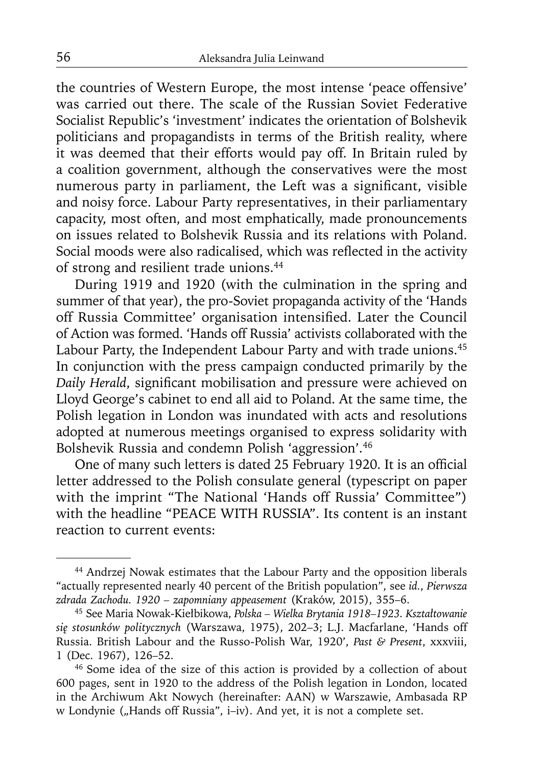the countries of Western Europe, the most intense 'peace offensive' was carried out there. The scale of the Russian Soviet Federative Socialist Republic's 'investment' indicates the orientation of Bolshevik politicians and propagandists in terms of the British reality, where it was deemed that their efforts would pay off. In Britain ruled by a coalition government, although the conservatives were the most numerous party in parliament, the Left was a significant, visible and noisy force. Labour Party representatives, in their parliamentary capacity, most often, and most emphatically, made pronouncements on issues related to Bolshevik Russia and its relations with Poland. Social moods were also radicalised, which was reflected in the activity of strong and resilient trade unions.44

During 1919 and 1920 (with the culmination in the spring and summer of that year), the pro-Soviet propaganda activity of the 'Hands off Russia Committee' organisation intensified. Later the Council of Action was formed. 'Hands off Russia' activists collaborated with the Labour Party, the Independent Labour Party and with trade unions.<sup>45</sup> In conjunction with the press campaign conducted primarily by the Daily Herald, significant mobilisation and pressure were achieved on Lloyd George's cabinet to end all aid to Poland. At the same time, the Polish legation in London was inundated with acts and resolutions adopted at numerous meetings organised to express solidarity with Bolshevik Russia and condemn Polish 'aggression'.46

One of many such letters is dated 25 February 1920. It is an official letter addressed to the Polish consulate general (typescript on paper with the imprint "The National 'Hands off Russia' Committee") with the headline "PEACE WITH RUSSIA". Its content is an instant reaction to current events:

<sup>44</sup> Andrzej Nowak estimates that the Labour Party and the opposition liberals "actually represented nearly 40 percent of the British population", see *id.*, *Pierwsza zdrada Zachodu. 1920 – zapomniany appeasement* (Kraków, 2015), 355–6.

<sup>45</sup> See Maria Nowak-Kiełbikowa, *Polska – Wielka Brytania 1918–1923. Kształtowanie się stosunków politycznych* (Warszawa, 1975), 202–3; L.J. Macfarlane, 'Hands off Russia. British Labour and the Russo-Polish War, 1920', *Past & Present*, xxxviii, 1 (Dec. 1967), 126–52.

<sup>46</sup> Some idea of the size of this action is provided by a collection of about 600 pages, sent in 1920 to the address of the Polish legation in London, located in the Archiwum Akt Nowych (hereinafter: AAN) w Warszawie, Ambasada RP w Londynie ("Hands off Russia", i–iv). And yet, it is not a complete set.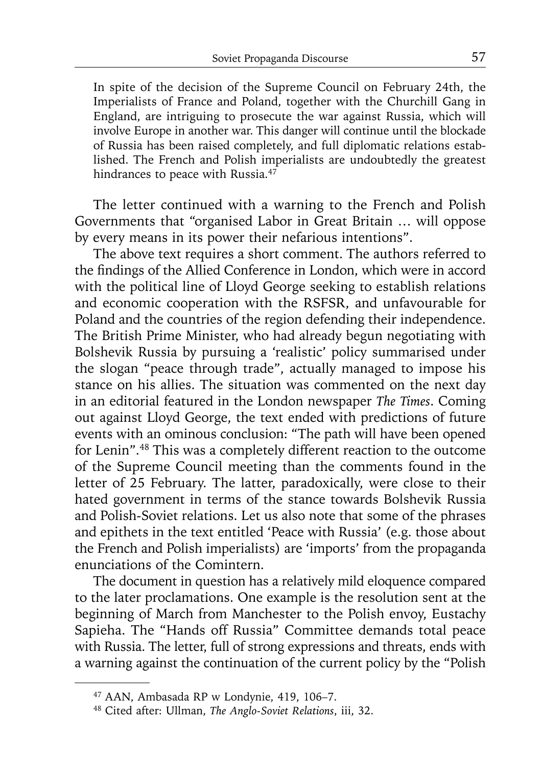In spite of the decision of the Supreme Council on February 24th, the Imperialists of France and Poland, together with the Churchill Gang in England, are intriguing to prosecute the war against Russia, which will involve Europe in another war. This danger will continue until the blockade of Russia has been raised completely, and full diplomatic relations established. The French and Polish imperialists are undoubtedly the greatest hindrances to peace with Russia.<sup>47</sup>

The letter continued with a warning to the French and Polish Governments that "organised Labor in Great Britain … will oppose by every means in its power their nefarious intentions".

The above text requires a short comment. The authors referred to the findings of the Allied Conference in London, which were in accord with the political line of Lloyd George seeking to establish relations and economic cooperation with the RSFSR, and unfavourable for Poland and the countries of the region defending their independence. The British Prime Minister, who had already begun negotiating with Bolshevik Russia by pursuing a 'realistic' policy summarised under the slogan "peace through trade", actually managed to impose his stance on his allies. The situation was commented on the next day in an editorial featured in the London newspaper *The Times*. Coming out against Lloyd George, the text ended with predictions of future events with an ominous conclusion: "The path will have been opened for Lenin".48 This was a completely different reaction to the outcome of the Supreme Council meeting than the comments found in the letter of 25 February. The latter, paradoxically, were close to their hated government in terms of the stance towards Bolshevik Russia and Polish-Soviet relations. Let us also note that some of the phrases and epithets in the text entitled 'Peace with Russia' (e.g. those about the French and Polish imperialists) are 'imports' from the propaganda enunciations of the Comintern.

The document in question has a relatively mild eloquence compared to the later proclamations. One example is the resolution sent at the beginning of March from Manchester to the Polish envoy, Eustachy Sapieha. The "Hands off Russia" Committee demands total peace with Russia. The letter, full of strong expressions and threats, ends with a warning against the continuation of the current policy by the "Polish

<sup>47</sup> AAN, Ambasada RP w Londynie, 419, 106–7.

<sup>48</sup> Cited after: Ullman, *The Anglo-Soviet Relations*, iii, 32.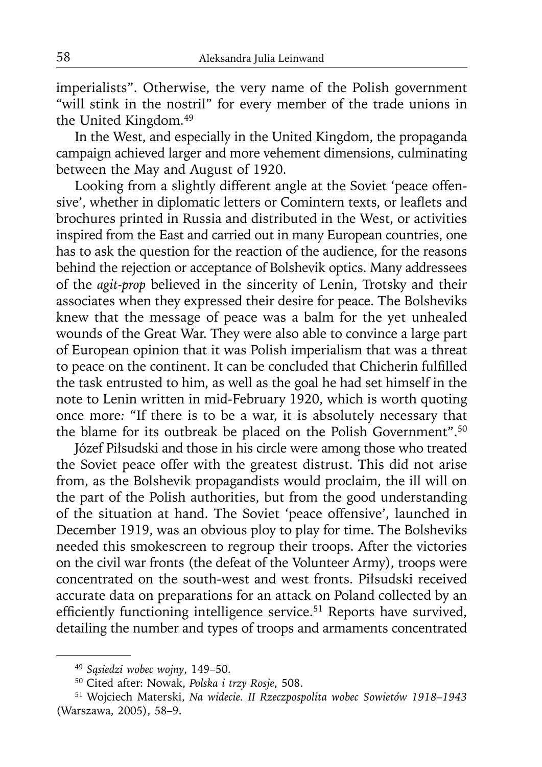imperialists". Otherwise, the very name of the Polish government "will stink in the nostril" for every member of the trade unions in the United Kingdom.49

In the West, and especially in the United Kingdom, the propaganda campaign achieved larger and more vehement dimensions, culminating between the May and August of 1920.

Looking from a slightly different angle at the Soviet 'peace offensive', whether in diplomatic letters or Comintern texts, or leaflets and brochures printed in Russia and distributed in the West, or activities inspired from the East and carried out in many European countries, one has to ask the question for the reaction of the audience, for the reasons behind the rejection or acceptance of Bolshevik optics. Many addressees of the *agit-prop* believed in the sincerity of Lenin, Trotsky and their associates when they expressed their desire for peace. The Bolsheviks knew that the message of peace was a balm for the yet unhealed wounds of the Great War. They were also able to convince a large part of European opinion that it was Polish imperialism that was a threat to peace on the continent. It can be concluded that Chicherin fulfilled the task entrusted to him, as well as the goal he had set himself in the note to Lenin written in mid-February 1920, which is worth quoting once more*:* "If there is to be a war, it is absolutely necessary that the blame for its outbreak be placed on the Polish Government".<sup>50</sup>

Józef Piłsudski and those in his circle were among those who treated the Soviet peace offer with the greatest distrust. This did not arise from, as the Bolshevik propagandists would proclaim, the ill will on the part of the Polish authorities, but from the good understanding of the situation at hand. The Soviet 'peace offensive', launched in December 1919, was an obvious ploy to play for time. The Bolsheviks needed this smokescreen to regroup their troops. After the victories on the civil war fronts (the defeat of the Volunteer Army), troops were concentrated on the south-west and west fronts. Piłsudski received accurate data on preparations for an attack on Poland collected by an efficiently functioning intelligence service.<sup>51</sup> Reports have survived, detailing the number and types of troops and armaments concentrated

<sup>49</sup>*Sąsiedzi wobec wojny*, 149–50.

<sup>50</sup> Cited after: Nowak, *Polska i trzy Rosje*, 508.

<sup>51</sup> Wojciech Materski, *Na widecie. II Rzeczpospolita wobec Sowietów 1918–1943* (Warszawa, 2005), 58–9.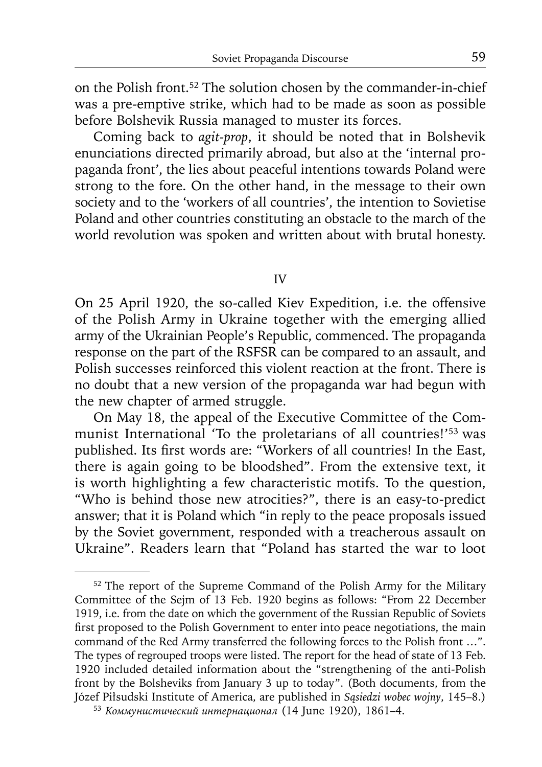on the Polish front.52 The solution chosen by the commander-in-chief was a pre-emptive strike, which had to be made as soon as possible before Bolshevik Russia managed to muster its forces.

Coming back to *agit-prop*, it should be noted that in Bolshevik enunciations directed primarily abroad, but also at the 'internal propaganda front', the lies about peaceful intentions towards Poland were strong to the fore. On the other hand, in the message to their own society and to the 'workers of all countries', the intention to Sovietise Poland and other countries constituting an obstacle to the march of the world revolution was spoken and written about with brutal honesty.

IV

On 25 April 1920, the so-called Kiev Expedition, i.e. the offensive of the Polish Army in Ukraine together with the emerging allied army of the Ukrainian People's Republic, commenced. The propaganda response on the part of the RSFSR can be compared to an assault, and Polish successes reinforced this violent reaction at the front. There is no doubt that a new version of the propaganda war had begun with the new chapter of armed struggle.

On May 18, the appeal of the Executive Committee of the Communist International 'To the proletarians of all countries!'<sup>53</sup> was published. Its first words are: "Workers of all countries! In the East, there is again going to be bloodshed". From the extensive text, it is worth highlighting a few characteristic motifs. To the question, "Who is behind those new atrocities?", there is an easy-to-predict answer; that it is Poland which "in reply to the peace proposals issued by the Soviet government, responded with a treacherous assault on Ukraine". Readers learn that "Poland has started the war to loot

<sup>&</sup>lt;sup>52</sup> The report of the Supreme Command of the Polish Army for the Military Committee of the Sejm of 13 Feb. 1920 begins as follows: "From 22 December 1919, i.e. from the date on which the government of the Russian Republic of Soviets first proposed to the Polish Government to enter into peace negotiations, the main command of the Red Army transferred the following forces to the Polish front …". The types of regrouped troops were listed. The report for the head of state of 13 Feb. 1920 included detailed information about the "strengthening of the anti-Polish front by the Bolsheviks from January 3 up to today". (Both documents, from the Józef Piłsudski Institute of America, are published in *Sąsiedzi wobec wojny*, 145–8.) 53 *Коммунистический интернационал* (14 June 1920), 1861–4.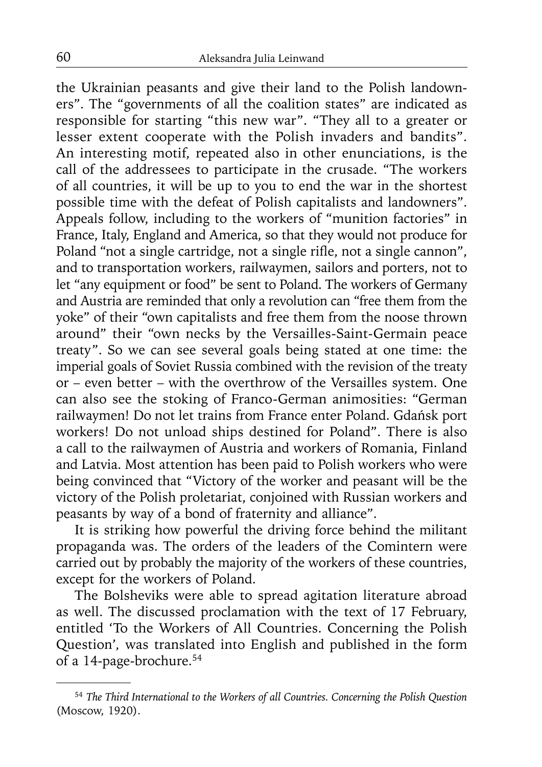the Ukrainian peasants and give their land to the Polish landowners". The "governments of all the coalition states" are indicated as responsible for starting "this new war". "They all to a greater or lesser extent cooperate with the Polish invaders and bandits". An interesting motif, repeated also in other enunciations, is the call of the addressees to participate in the crusade. "The workers of all countries, it will be up to you to end the war in the shortest possible time with the defeat of Polish capitalists and landowners". Appeals follow, including to the workers of "munition factories" in France, Italy, England and America, so that they would not produce for Poland "not a single cartridge, not a single rifle, not a single cannon", and to transportation workers, railwaymen, sailors and porters, not to let "any equipment or food" be sent to Poland. The workers of Germany and Austria are reminded that only a revolution can "free them from the yoke" of their "own capitalists and free them from the noose thrown around" their "own necks by the Versailles-Saint-Germain peace treaty". So we can see several goals being stated at one time: the imperial goals of Soviet Russia combined with the revision of the treaty or – even better – with the overthrow of the Versailles system. One can also see the stoking of Franco-German animosities: "German railwaymen! Do not let trains from France enter Poland. Gdańsk port workers! Do not unload ships destined for Poland". There is also a call to the railwaymen of Austria and workers of Romania, Finland and Latvia. Most attention has been paid to Polish workers who were being convinced that "Victory of the worker and peasant will be the victory of the Polish proletariat, conjoined with Russian workers and peasants by way of a bond of fraternity and alliance".

It is striking how powerful the driving force behind the militant propaganda was. The orders of the leaders of the Comintern were carried out by probably the majority of the workers of these countries, except for the workers of Poland.

The Bolsheviks were able to spread agitation literature abroad as well. The discussed proclamation with the text of 17 February, entitled 'To the Workers of All Countries. Concerning the Polish Question'*,* was translated into English and published in the form of a 14-page-brochure.54

<sup>54</sup>*The Third International to the Workers of all Countries. Concerning the Polish Question* (Moscow, 1920).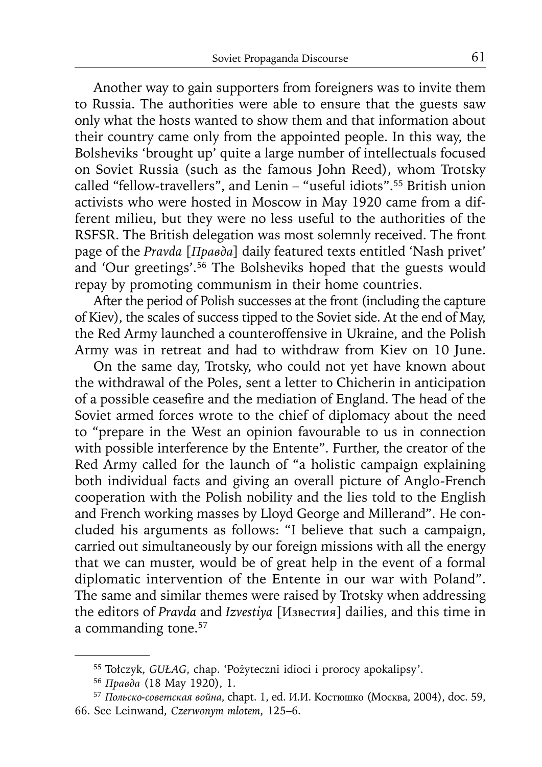Another way to gain supporters from foreigners was to invite them to Russia. The authorities were able to ensure that the guests saw only what the hosts wanted to show them and that information about their country came only from the appointed people. In this way, the Bolsheviks 'brought up' quite a large number of intellectuals focused on Soviet Russia (such as the famous John Reed), whom Trotsky called "fellow-travellers", and Lenin – "useful idiots".55 British union activists who were hosted in Moscow in May 1920 came from a different milieu, but they were no less useful to the authorities of the RSFSR. The British delegation was most solemnly received. The front page of the *Pravda* [*Правда*] daily featured texts entitled 'Nash privet' and 'Our greetings'.<sup>56</sup> The Bolsheviks hoped that the guests would repay by promoting communism in their home countries.

After the period of Polish successes at the front (including the capture of Kiev), the scales of success tipped to the Soviet side. At the end of May, the Red Army launched a counteroffensive in Ukraine, and the Polish Army was in retreat and had to withdraw from Kiev on 10 June.

On the same day, Trotsky, who could not yet have known about the withdrawal of the Poles, sent a letter to Chicherin in anticipation of a possible ceasefire and the mediation of England. The head of the Soviet armed forces wrote to the chief of diplomacy about the need to "prepare in the West an opinion favourable to us in connection with possible interference by the Entente". Further, the creator of the Red Army called for the launch of "a holistic campaign explaining both individual facts and giving an overall picture of Anglo-French cooperation with the Polish nobility and the lies told to the English and French working masses by Lloyd George and Millerand". He concluded his arguments as follows: "I believe that such a campaign, carried out simultaneously by our foreign missions with all the energy that we can muster, would be of great help in the event of a formal diplomatic intervention of the Entente in our war with Poland". The same and similar themes were raised by Trotsky when addressing the editors of *Pravda* and *Izvestiya* [Известия] dailies, and this time in a commanding tone.57

<sup>55</sup> Tołczyk, *GUŁAG*, chap. 'Pożyteczni idioci i prorocy apokalipsy'. 56 *Правда* (18 May 1920), 1.

<sup>57</sup>*Польско-советская война*, chapt. 1, ed. И.И. Koстюшко (Moсквa, 2004), doc. 59, 66. See Leinwand, *Czerwonym młotem*, 125–6.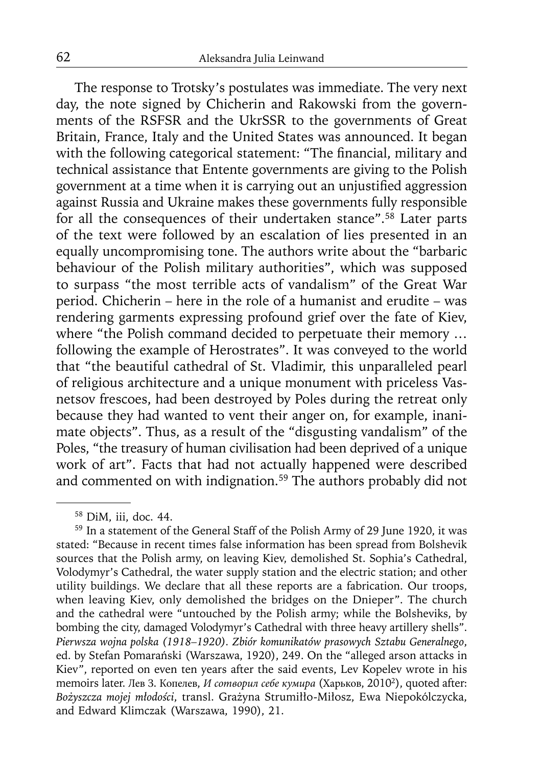The response to Trotsky's postulates was immediate. The very next day, the note signed by Chicherin and Rakowski from the governments of the RSFSR and the UkrSSR to the governments of Great Britain, France, Italy and the United States was announced. It began with the following categorical statement: "The financial, military and technical assistance that Entente governments are giving to the Polish government at a time when it is carrying out an unjustified aggression against Russia and Ukraine makes these governments fully responsible for all the consequences of their undertaken stance".58 Later parts of the text were followed by an escalation of lies presented in an equally uncompromising tone. The authors write about the "barbaric behaviour of the Polish military authorities", which was supposed to surpass "the most terrible acts of vandalism" of the Great War period. Chicherin – here in the role of a humanist and erudite – was rendering garments expressing profound grief over the fate of Kiev, where "the Polish command decided to perpetuate their memory ... following the example of Herostrates". It was conveyed to the world that "the beautiful cathedral of St. Vladimir, this unparalleled pearl of religious architecture and a unique monument with priceless Vasnetsov frescoes, had been destroyed by Poles during the retreat only because they had wanted to vent their anger on, for example, inanimate objects". Thus, as a result of the "disgusting vandalism" of the Poles, "the treasury of human civilisation had been deprived of a unique work of art". Facts that had not actually happened were described and commented on with indignation.<sup>59</sup> The authors probably did not

<sup>58</sup> DiM, iii, doc. 44.

<sup>59</sup> In a statement of the General Staff of the Polish Army of 29 June 1920, it was stated: "Because in recent times false information has been spread from Bolshevik sources that the Polish army, on leaving Kiev, demolished St. Sophia's Cathedral, Volodymyr's Cathedral, the water supply station and the electric station; and other utility buildings. We declare that all these reports are a fabrication. Our troops, when leaving Kiev, only demolished the bridges on the Dnieper". The church and the cathedral were "untouched by the Polish army; while the Bolsheviks, by bombing the city, damaged Volodymyr's Cathedral with three heavy artillery shells". *Pierwsza wojna polska (1918–1920). Zbiór komunikatów prasowych Sztabu Generalnego*, ed. by Stefan Pomarański (Warszawa, 1920), 249. On the "alleged arson attacks in Kiev", reported on even ten years after the said events, Lev Kopelev wrote in his memoirs later. Лев З. Копелев, *И сотворил себе кумира* (Харьков, 20102), quoted after: *Bożyszcza mojej młodości*, transl. Grażyna Strumiłło-Miłosz, Ewa Niepokólczycka, and Edward Klimczak (Warszawa, 1990), 21.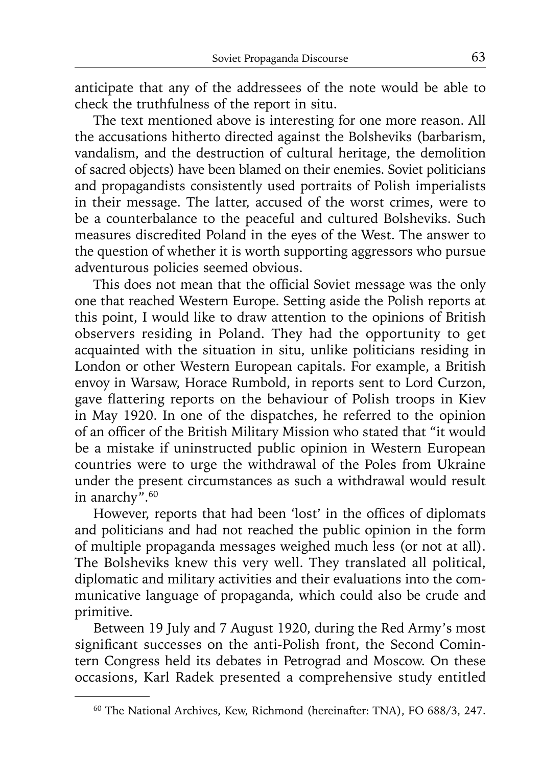anticipate that any of the addressees of the note would be able to check the truthfulness of the report in situ.

The text mentioned above is interesting for one more reason. All the accusations hitherto directed against the Bolsheviks (barbarism, vandalism, and the destruction of cultural heritage, the demolition of sacred objects) have been blamed on their enemies. Soviet politicians and propagandists consistently used portraits of Polish imperialists in their message. The latter, accused of the worst crimes, were to be a counterbalance to the peaceful and cultured Bolsheviks. Such measures discredited Poland in the eyes of the West. The answer to the question of whether it is worth supporting aggressors who pursue adventurous policies seemed obvious.

This does not mean that the official Soviet message was the only one that reached Western Europe. Setting aside the Polish reports at this point, I would like to draw attention to the opinions of British observers residing in Poland. They had the opportunity to get acquainted with the situation in situ, unlike politicians residing in London or other Western European capitals. For example, a British envoy in Warsaw, Horace Rumbold, in reports sent to Lord Curzon, gave flattering reports on the behaviour of Polish troops in Kiev in May 1920. In one of the dispatches, he referred to the opinion of an officer of the British Military Mission who stated that "it would be a mistake if uninstructed public opinion in Western European countries were to urge the withdrawal of the Poles from Ukraine under the present circumstances as such a withdrawal would result in anarchy".<sup>60</sup>

However, reports that had been 'lost' in the offices of diplomats and politicians and had not reached the public opinion in the form of multiple propaganda messages weighed much less (or not at all). The Bolsheviks knew this very well. They translated all political, diplomatic and military activities and their evaluations into the communicative language of propaganda, which could also be crude and primitive.

Between 19 July and 7 August 1920, during the Red Army's most significant successes on the anti-Polish front, the Second Comintern Congress held its debates in Petrograd and Moscow. On these occasions, Karl Radek presented a comprehensive study entitled

<sup>60</sup> The National Archives, Kew, Richmond (hereinafter: TNA), FO 688/3, 247.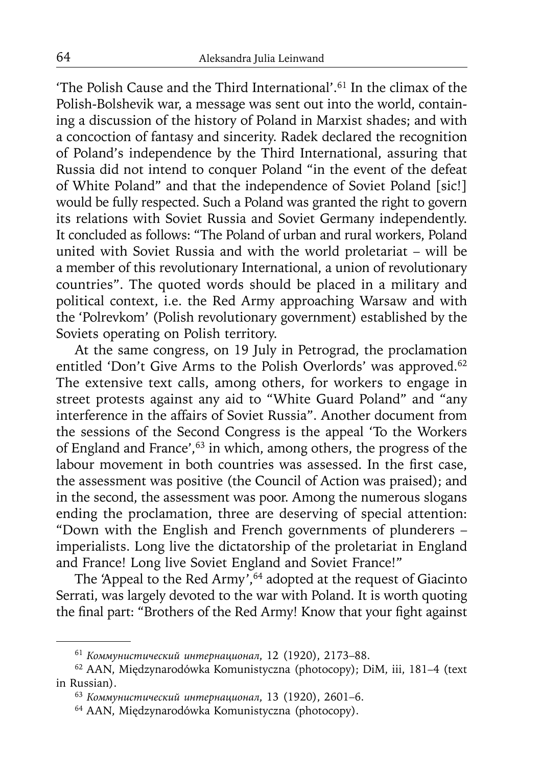'The Polish Cause and the Third International'.61 In the climax of the Polish-Bolshevik war, a message was sent out into the world, containing a discussion of the history of Poland in Marxist shades; and with a concoction of fantasy and sincerity. Radek declared the recognition of Poland's independence by the Third International, assuring that Russia did not intend to conquer Poland "in the event of the defeat of White Poland" and that the independence of Soviet Poland [sic!] would be fully respected. Such a Poland was granted the right to govern its relations with Soviet Russia and Soviet Germany independently. It concluded as follows: "The Poland of urban and rural workers, Poland united with Soviet Russia and with the world proletariat – will be a member of this revolutionary International, a union of revolutionary countries". The quoted words should be placed in a military and political context, i.e. the Red Army approaching Warsaw and with the 'Polrevkom' (Polish revolutionary government) established by the Soviets operating on Polish territory.

At the same congress, on 19 July in Petrograd, the proclamation entitled 'Don't Give Arms to the Polish Overlords' was approved.<sup>62</sup> The extensive text calls, among others, for workers to engage in street protests against any aid to "White Guard Poland" and "any interference in the affairs of Soviet Russia". Another document from the sessions of the Second Congress is the appeal 'To the Workers of England and France',63 in which, among others, the progress of the labour movement in both countries was assessed. In the first case, the assessment was positive (the Council of Action was praised); and in the second, the assessment was poor. Among the numerous slogans ending the proclamation, three are deserving of special attention: "Down with the English and French governments of plunderers – imperialists. Long live the dictatorship of the proletariat in England and France! Long live Soviet England and Soviet France!"

The 'Appeal to the Red Army',<sup>64</sup> adopted at the request of Giacinto Serrati, was largely devoted to the war with Poland. It is worth quoting the final part: "Brothers of the Red Army! Know that your fight against

<sup>61</sup>*Коммунистический интернационал*, 12 (1920), 2173–88.

<sup>62</sup> AAN, Międzynarodówka Komunistyczna (photocopy); DiM, iii, 181–4 (text in Russian).

<sup>63</sup>*Коммунистический интернационал*, 13 (1920), 2601–6.

<sup>64</sup> AAN, Międzynarodówka Komunistyczna (photocopy).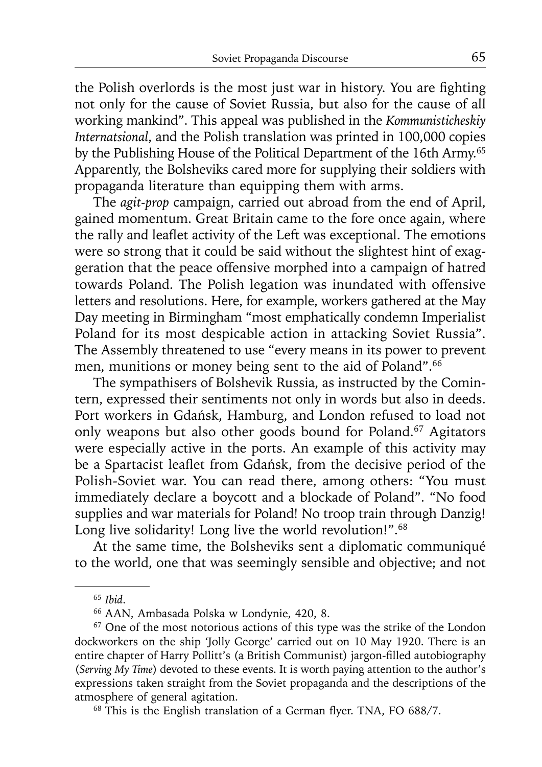the Polish overlords is the most just war in history. You are fighting not only for the cause of Soviet Russia, but also for the cause of all working mankind". This appeal was published in the *Kommunisticheskiy Internatsional*, and the Polish translation was printed in 100,000 copies by the Publishing House of the Political Department of the 16th Army.<sup>65</sup> Apparently, the Bolsheviks cared more for supplying their soldiers with propaganda literature than equipping them with arms.

The *agit-prop* campaign, carried out abroad from the end of April, gained momentum. Great Britain came to the fore once again, where the rally and leaflet activity of the Left was exceptional. The emotions were so strong that it could be said without the slightest hint of exaggeration that the peace offensive morphed into a campaign of hatred towards Poland. The Polish legation was inundated with offensive letters and resolutions. Here, for example, workers gathered at the May Day meeting in Birmingham "most emphatically condemn Imperialist Poland for its most despicable action in attacking Soviet Russia". The Assembly threatened to use "every means in its power to prevent men, munitions or money being sent to the aid of Poland".66

The sympathisers of Bolshevik Russia, as instructed by the Comintern, expressed their sentiments not only in words but also in deeds. Port workers in Gdańsk, Hamburg, and London refused to load not only weapons but also other goods bound for Poland.<sup>67</sup> Agitators were especially active in the ports. An example of this activity may be a Spartacist leaflet from Gdańsk, from the decisive period of the Polish-Soviet war. You can read there, among others: "You must immediately declare a boycott and a blockade of Poland". "No food supplies and war materials for Poland! No troop train through Danzig! Long live solidarity! Long live the world revolution!".<sup>68</sup>

At the same time, the Bolsheviks sent a diplomatic communiqué to the world, one that was seemingly sensible and objective; and not

 $68$  This is the English translation of a German flyer. TNA, FO  $688/7$ .

<sup>65</sup>*Ibid*.

<sup>66</sup> AAN, Ambasada Polska w Londynie, 420, 8.

<sup>&</sup>lt;sup>67</sup> One of the most notorious actions of this type was the strike of the London dockworkers on the ship 'Jolly George' carried out on 10 May 1920. There is an entire chapter of Harry Pollitt's (a British Communist) jargon-filled autobiography (*Serving My Time*) devoted to these events. It is worth paying attention to the author's expressions taken straight from the Soviet propaganda and the descriptions of the atmosphere of general agitation.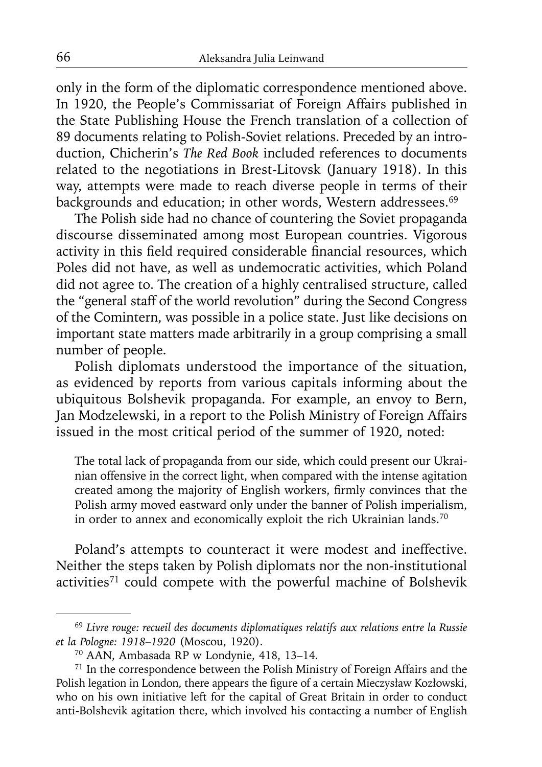only in the form of the diplomatic correspondence mentioned above. In 1920, the People's Commissariat of Foreign Affairs published in the State Publishing House the French translation of a collection of 89 documents relating to Polish-Soviet relations. Preceded by an introduction, Chicherin's *The Red Book* included references to documents related to the negotiations in Brest-Litovsk (January 1918). In this way, attempts were made to reach diverse people in terms of their backgrounds and education; in other words, Western addressees.<sup>69</sup>

The Polish side had no chance of countering the Soviet propaganda discourse disseminated among most European countries. Vigorous activity in this field required considerable financial resources, which Poles did not have, as well as undemocratic activities, which Poland did not agree to. The creation of a highly centralised structure, called the "general staff of the world revolution" during the Second Congress of the Comintern, was possible in a police state. Just like decisions on important state matters made arbitrarily in a group comprising a small number of people.

Polish diplomats understood the importance of the situation, as evidenced by reports from various capitals informing about the ubiquitous Bolshevik propaganda. For example, an envoy to Bern, Jan Modzelewski, in a report to the Polish Ministry of Foreign Affairs issued in the most critical period of the summer of 1920, noted:

The total lack of propaganda from our side, which could present our Ukrainian offensive in the correct light, when compared with the intense agitation created among the majority of English workers, firmly convinces that the Polish army moved eastward only under the banner of Polish imperialism, in order to annex and economically exploit the rich Ukrainian lands.70

Poland's attempts to counteract it were modest and ineffective. Neither the steps taken by Polish diplomats nor the non-institutional activities<sup>71</sup> could compete with the powerful machine of Bolshevik

<sup>69</sup>*Livre rouge: recueil des documents diplomatiques relatifs aux relations entre la Russie et la Pologne: 1918–1920* (Moscou, 1920).

<sup>70</sup> AAN, Ambasada RP w Londynie, 418, 13–14.

 $71$  In the correspondence between the Polish Ministry of Foreign Affairs and the Polish legation in London, there appears the figure of a certain Mieczysław Kozłowski, who on his own initiative left for the capital of Great Britain in order to conduct anti-Bolshevik agitation there, which involved his contacting a number of English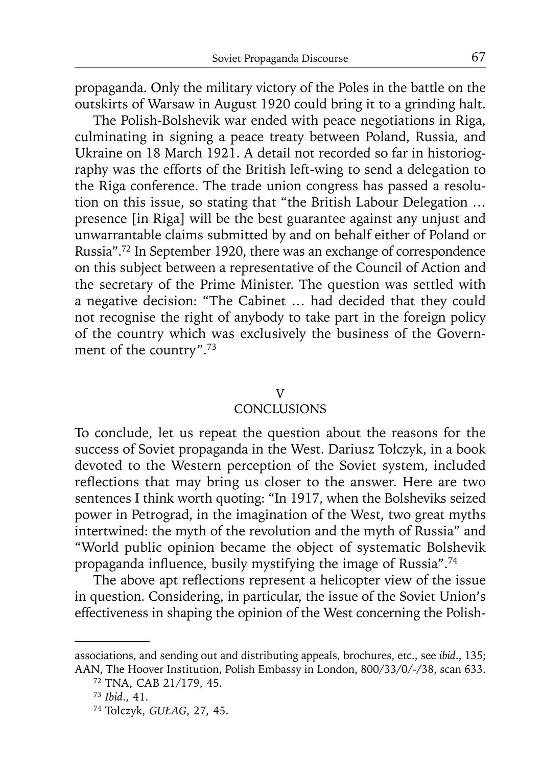propaganda. Only the military victory of the Poles in the battle on the outskirts of Warsaw in August 1920 could bring it to a grinding halt.

The Polish-Bolshevik war ended with peace negotiations in Riga, culminating in signing a peace treaty between Poland, Russia, and Ukraine on 18 March 1921. A detail not recorded so far in historiography was the efforts of the British left-wing to send a delegation to the Riga conference. The trade union congress has passed a resolution on this issue, so stating that "the British Labour Delegation … presence [in Riga] will be the best guarantee against any unjust and unwarrantable claims submitted by and on behalf either of Poland or Russia".72 In September 1920, there was an exchange of correspondence on this subject between a representative of the Council of Action and the secretary of the Prime Minister. The question was settled with a negative decision: "The Cabinet … had decided that they could not recognise the right of anybody to take part in the foreign policy of the country which was exclusively the business of the Government of the country".73

## V

# **CONCLUSIONS**

To conclude, let us repeat the question about the reasons for the success of Soviet propaganda in the West. Dariusz Tołczyk, in a book devoted to the Western perception of the Soviet system, included reflections that may bring us closer to the answer. Here are two sentences I think worth quoting: "In 1917, when the Bolsheviks seized power in Petrograd, in the imagination of the West, two great myths intertwined: the myth of the revolution and the myth of Russia" and "World public opinion became the object of systematic Bolshevik propaganda influence, busily mystifying the image of Russia".<sup>74</sup>

The above apt reflections represent a helicopter view of the issue in question. Considering, in particular, the issue of the Soviet Union's effectiveness in shaping the opinion of the West concerning the Polish-

associations, and sending out and distributing appeals, brochures, etc., see *ibid*., 135; AAN, The Hoover Institution, Polish Embassy in London, 800/33/0/-/38, scan 633.

<sup>72</sup> TNA, CAB 21/179, 45.

<sup>73</sup>*Ibid*., 41.

<sup>74</sup> Tołczyk, *GUŁAG*, 27, 45.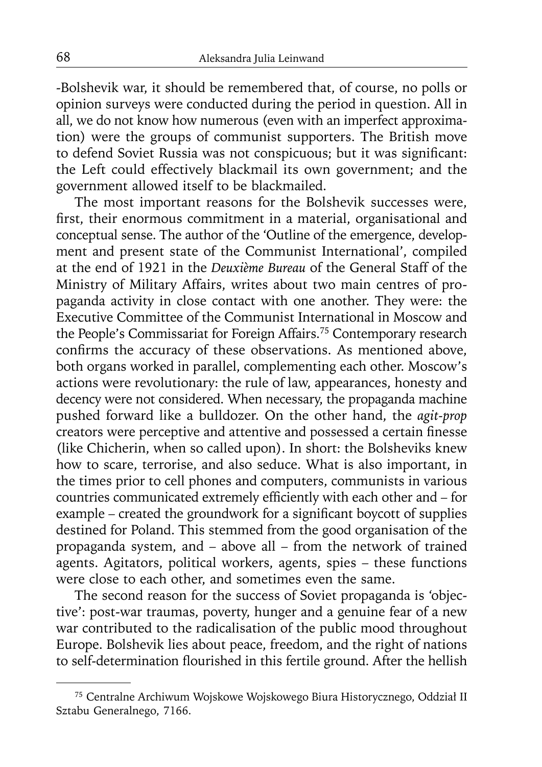-Bolshevik war, it should be remembered that, of course, no polls or opinion surveys were conducted during the period in question. All in all, we do not know how numerous (even with an imperfect approximation) were the groups of communist supporters. The British move to defend Soviet Russia was not conspicuous; but it was significant: the Left could effectively blackmail its own government; and the government allowed itself to be blackmailed.

The most important reasons for the Bolshevik successes were, first, their enormous commitment in a material, organisational and conceptual sense. The author of the 'Outline of the emergence, development and present state of the Communist International', compiled at the end of 1921 in the *Deuxième Bureau* of the General Staff of the Ministry of Military Affairs, writes about two main centres of propaganda activity in close contact with one another. They were: the Executive Committee of the Communist International in Moscow and the People's Commissariat for Foreign Affairs.75 Contemporary research confirms the accuracy of these observations. As mentioned above, both organs worked in parallel, complementing each other. Moscow's actions were revolutionary: the rule of law, appearances, honesty and decency were not considered. When necessary, the propaganda machine pushed forward like a bulldozer. On the other hand, the *agit-prop* creators were perceptive and attentive and possessed a certain finesse (like Chicherin, when so called upon). In short: the Bolsheviks knew how to scare, terrorise, and also seduce. What is also important, in the times prior to cell phones and computers, communists in various countries communicated extremely efficiently with each other and – for example – created the groundwork for a significant boycott of supplies destined for Poland. This stemmed from the good organisation of the propaganda system, and – above all – from the network of trained agents. Agitators, political workers, agents, spies – these functions were close to each other, and sometimes even the same.

The second reason for the success of Soviet propaganda is 'objective': post-war traumas, poverty, hunger and a genuine fear of a new war contributed to the radicalisation of the public mood throughout Europe. Bolshevik lies about peace, freedom, and the right of nations to self-determination flourished in this fertile ground. After the hellish

<sup>75</sup> Centralne Archiwum Wojskowe Wojskowego Biura Historycznego, Oddział II Sztabu Generalnego, 7166.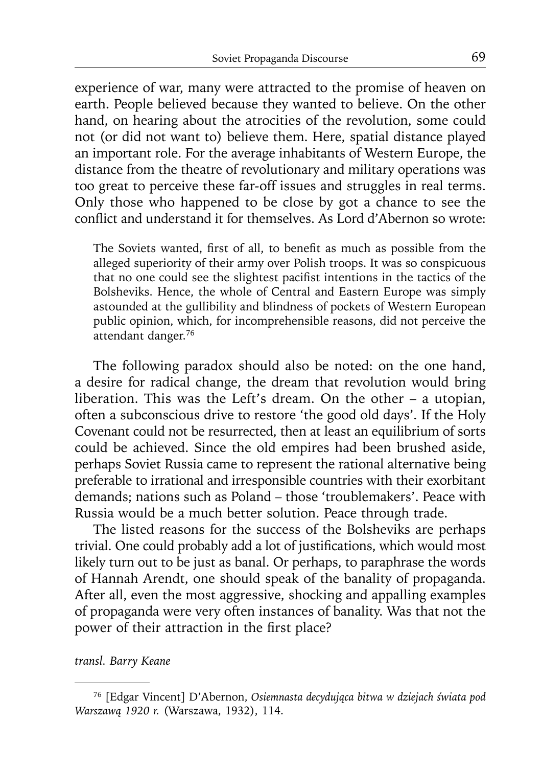experience of war, many were attracted to the promise of heaven on earth. People believed because they wanted to believe. On the other hand, on hearing about the atrocities of the revolution, some could not (or did not want to) believe them. Here, spatial distance played an important role. For the average inhabitants of Western Europe, the distance from the theatre of revolutionary and military operations was too great to perceive these far-off issues and struggles in real terms. Only those who happened to be close by got a chance to see the conflict and understand it for themselves. As Lord d'Abernon so wrote:

The Soviets wanted, first of all, to benefit as much as possible from the alleged superiority of their army over Polish troops. It was so conspicuous that no one could see the slightest pacifist intentions in the tactics of the Bolsheviks. Hence, the whole of Central and Eastern Europe was simply astounded at the gullibility and blindness of pockets of Western European public opinion, which, for incomprehensible reasons, did not perceive the attendant danger.76

The following paradox should also be noted: on the one hand, a desire for radical change, the dream that revolution would bring liberation. This was the Left's dream. On the other – a utopian, often a subconscious drive to restore 'the good old days'. If the Holy Covenant could not be resurrected, then at least an equilibrium of sorts could be achieved. Since the old empires had been brushed aside, perhaps Soviet Russia came to represent the rational alternative being preferable to irrational and irresponsible countries with their exorbitant demands; nations such as Poland – those 'troublemakers'. Peace with Russia would be a much better solution. Peace through trade.

The listed reasons for the success of the Bolsheviks are perhaps trivial. One could probably add a lot of justifications, which would most likely turn out to be just as banal. Or perhaps, to paraphrase the words of Hannah Arendt, one should speak of the banality of propaganda. After all, even the most aggressive, shocking and appalling examples of propaganda were very often instances of banality. Was that not the power of their attraction in the first place?

*transl. Barry Keane*

<sup>76 [</sup>Edgar Vincent] D'Abernon, *Osiemnasta decydująca bitwa w dziejach świata pod Warszawą 1920 r.* (Warszawa, 1932), 114.